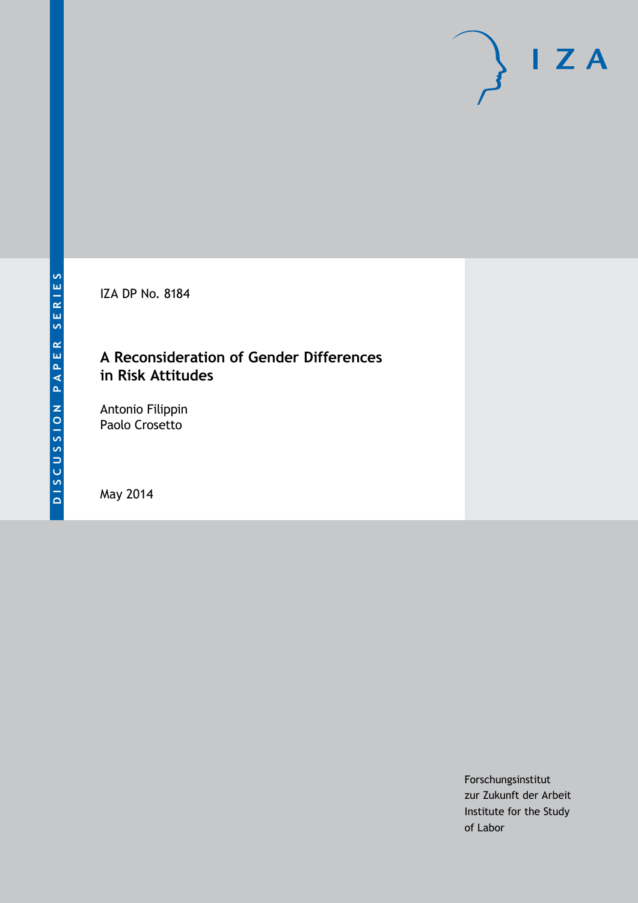IZA DP No. 8184

## **A Reconsideration of Gender Differences in Risk Attitudes**

Antonio Filippin Paolo Crosetto

May 2014

Forschungsinstitut zur Zukunft der Arbeit Institute for the Study of Labor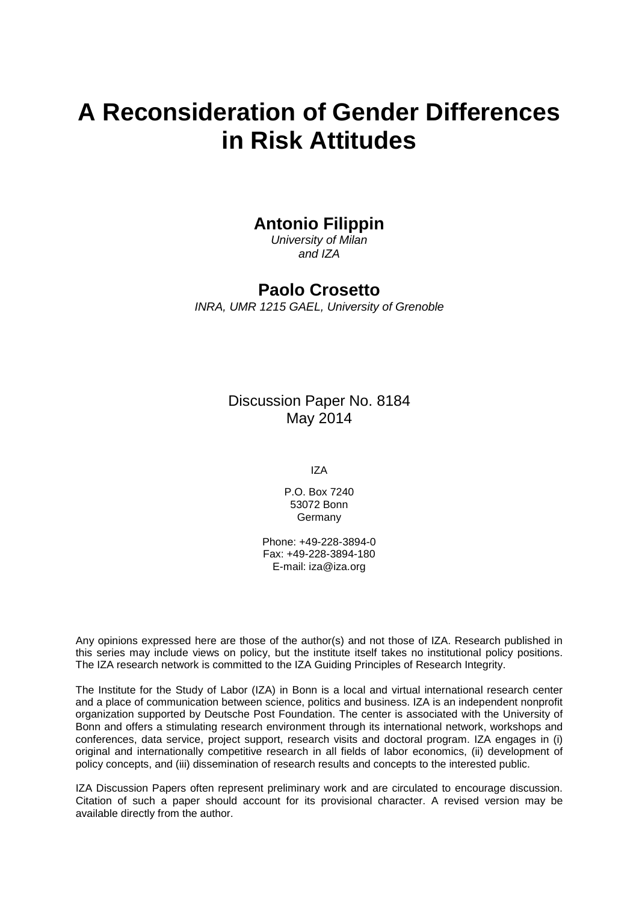# **A Reconsideration of Gender Differences in Risk Attitudes**

### **Antonio Filippin**

*University of Milan and IZA*

### **Paolo Crosetto**

*INRA, UMR 1215 GAEL, University of Grenoble*

Discussion Paper No. 8184 May 2014

IZA

P.O. Box 7240 53072 Bonn Germany

Phone: +49-228-3894-0 Fax: +49-228-3894-180 E-mail: [iza@iza.org](mailto:iza@iza.org)

Any opinions expressed here are those of the author(s) and not those of IZA. Research published in this series may include views on policy, but the institute itself takes no institutional policy positions. The IZA research network is committed to the IZA Guiding Principles of Research Integrity.

The Institute for the Study of Labor (IZA) in Bonn is a local and virtual international research center and a place of communication between science, politics and business. IZA is an independent nonprofit organization supported by Deutsche Post Foundation. The center is associated with the University of Bonn and offers a stimulating research environment through its international network, workshops and conferences, data service, project support, research visits and doctoral program. IZA engages in (i) original and internationally competitive research in all fields of labor economics, (ii) development of policy concepts, and (iii) dissemination of research results and concepts to the interested public.

<span id="page-1-0"></span>IZA Discussion Papers often represent preliminary work and are circulated to encourage discussion. Citation of such a paper should account for its provisional character. A revised version may be available directly from the author.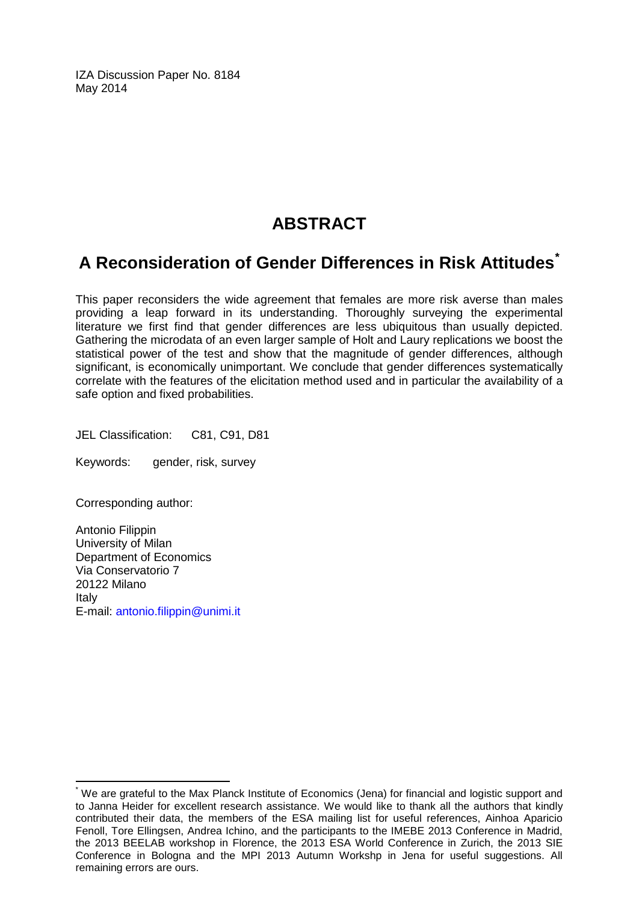IZA Discussion Paper No. 8184 May 2014

# **ABSTRACT**

# **A Reconsideration of Gender Differences in Risk Attitudes[\\*](#page-1-0)**

This paper reconsiders the wide agreement that females are more risk averse than males providing a leap forward in its understanding. Thoroughly surveying the experimental literature we first find that gender differences are less ubiquitous than usually depicted. Gathering the microdata of an even larger sample of Holt and Laury replications we boost the statistical power of the test and show that the magnitude of gender differences, although significant, is economically unimportant. We conclude that gender differences systematically correlate with the features of the elicitation method used and in particular the availability of a safe option and fixed probabilities.

JEL Classification: C81, C91, D81

Keywords: gender, risk, survey

Corresponding author:

Antonio Filippin University of Milan Department of Economics Via Conservatorio 7 20122 Milano Italy E-mail: [antonio.filippin@unimi.it](mailto:antonio.filippin@unimi.it)

We are grateful to the Max Planck Institute of Economics (Jena) for financial and logistic support and to Janna Heider for excellent research assistance. We would like to thank all the authors that kindly contributed their data, the members of the ESA mailing list for useful references, Ainhoa Aparicio Fenoll, Tore Ellingsen, Andrea Ichino, and the participants to the IMEBE 2013 Conference in Madrid, the 2013 BEELAB workshop in Florence, the 2013 ESA World Conference in Zurich, the 2013 SIE Conference in Bologna and the MPI 2013 Autumn Workshp in Jena for useful suggestions. All remaining errors are ours.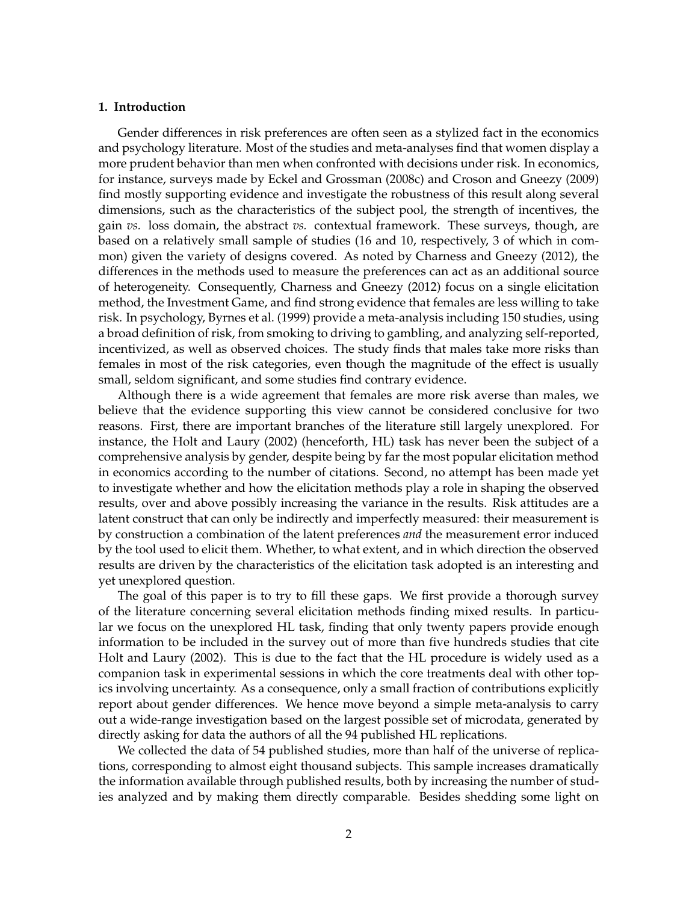#### **1. Introduction**

Gender differences in risk preferences are often seen as a stylized fact in the economics and psychology literature. Most of the studies and meta-analyses find that women display a more prudent behavior than men when confronted with decisions under risk. In economics, for instance, surveys made by Eckel and Grossman (2008c) and Croson and Gneezy (2009) find mostly supporting evidence and investigate the robustness of this result along several dimensions, such as the characteristics of the subject pool, the strength of incentives, the gain *vs.* loss domain, the abstract *vs.* contextual framework. These surveys, though, are based on a relatively small sample of studies (16 and 10, respectively, 3 of which in common) given the variety of designs covered. As noted by Charness and Gneezy (2012), the differences in the methods used to measure the preferences can act as an additional source of heterogeneity. Consequently, Charness and Gneezy (2012) focus on a single elicitation method, the Investment Game, and find strong evidence that females are less willing to take risk. In psychology, Byrnes et al. (1999) provide a meta-analysis including 150 studies, using a broad definition of risk, from smoking to driving to gambling, and analyzing self-reported, incentivized, as well as observed choices. The study finds that males take more risks than females in most of the risk categories, even though the magnitude of the effect is usually small, seldom significant, and some studies find contrary evidence.

Although there is a wide agreement that females are more risk averse than males, we believe that the evidence supporting this view cannot be considered conclusive for two reasons. First, there are important branches of the literature still largely unexplored. For instance, the Holt and Laury (2002) (henceforth, HL) task has never been the subject of a comprehensive analysis by gender, despite being by far the most popular elicitation method in economics according to the number of citations. Second, no attempt has been made yet to investigate whether and how the elicitation methods play a role in shaping the observed results, over and above possibly increasing the variance in the results. Risk attitudes are a latent construct that can only be indirectly and imperfectly measured: their measurement is by construction a combination of the latent preferences *and* the measurement error induced by the tool used to elicit them. Whether, to what extent, and in which direction the observed results are driven by the characteristics of the elicitation task adopted is an interesting and yet unexplored question.

The goal of this paper is to try to fill these gaps. We first provide a thorough survey of the literature concerning several elicitation methods finding mixed results. In particular we focus on the unexplored HL task, finding that only twenty papers provide enough information to be included in the survey out of more than five hundreds studies that cite Holt and Laury (2002). This is due to the fact that the HL procedure is widely used as a companion task in experimental sessions in which the core treatments deal with other topics involving uncertainty. As a consequence, only a small fraction of contributions explicitly report about gender differences. We hence move beyond a simple meta-analysis to carry out a wide-range investigation based on the largest possible set of microdata, generated by directly asking for data the authors of all the 94 published HL replications.

We collected the data of 54 published studies, more than half of the universe of replications, corresponding to almost eight thousand subjects. This sample increases dramatically the information available through published results, both by increasing the number of studies analyzed and by making them directly comparable. Besides shedding some light on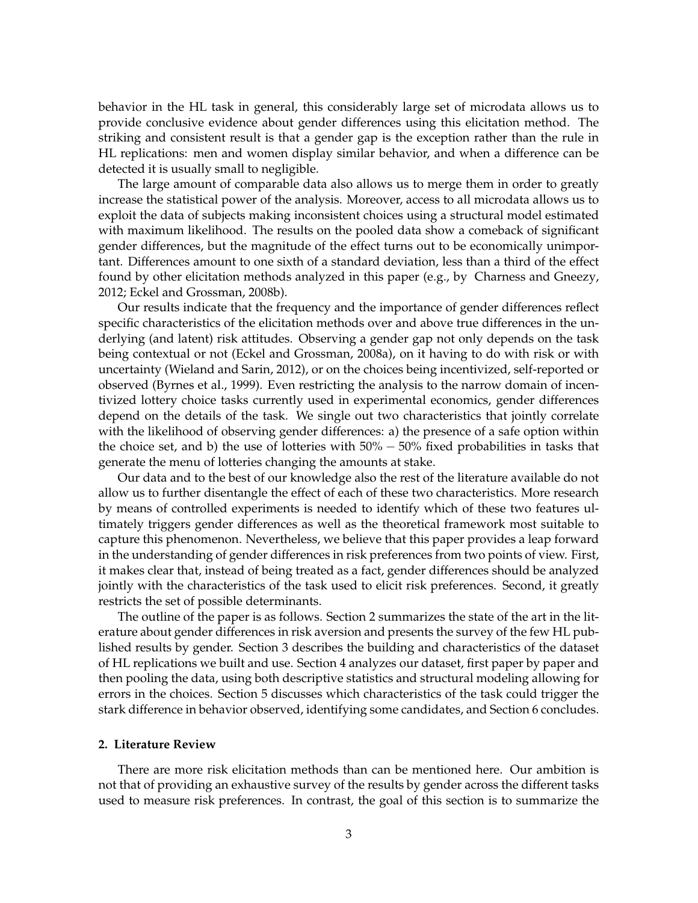behavior in the HL task in general, this considerably large set of microdata allows us to provide conclusive evidence about gender differences using this elicitation method. The striking and consistent result is that a gender gap is the exception rather than the rule in HL replications: men and women display similar behavior, and when a difference can be detected it is usually small to negligible.

The large amount of comparable data also allows us to merge them in order to greatly increase the statistical power of the analysis. Moreover, access to all microdata allows us to exploit the data of subjects making inconsistent choices using a structural model estimated with maximum likelihood. The results on the pooled data show a comeback of significant gender differences, but the magnitude of the effect turns out to be economically unimportant. Differences amount to one sixth of a standard deviation, less than a third of the effect found by other elicitation methods analyzed in this paper (e.g., by Charness and Gneezy, 2012; Eckel and Grossman, 2008b).

Our results indicate that the frequency and the importance of gender differences reflect specific characteristics of the elicitation methods over and above true differences in the underlying (and latent) risk attitudes. Observing a gender gap not only depends on the task being contextual or not (Eckel and Grossman, 2008a), on it having to do with risk or with uncertainty (Wieland and Sarin, 2012), or on the choices being incentivized, self-reported or observed (Byrnes et al., 1999). Even restricting the analysis to the narrow domain of incentivized lottery choice tasks currently used in experimental economics, gender differences depend on the details of the task. We single out two characteristics that jointly correlate with the likelihood of observing gender differences: a) the presence of a safe option within the choice set, and b) the use of lotteries with  $50\% - 50\%$  fixed probabilities in tasks that generate the menu of lotteries changing the amounts at stake.

Our data and to the best of our knowledge also the rest of the literature available do not allow us to further disentangle the effect of each of these two characteristics. More research by means of controlled experiments is needed to identify which of these two features ultimately triggers gender differences as well as the theoretical framework most suitable to capture this phenomenon. Nevertheless, we believe that this paper provides a leap forward in the understanding of gender differences in risk preferences from two points of view. First, it makes clear that, instead of being treated as a fact, gender differences should be analyzed jointly with the characteristics of the task used to elicit risk preferences. Second, it greatly restricts the set of possible determinants.

The outline of the paper is as follows. Section 2 summarizes the state of the art in the literature about gender differences in risk aversion and presents the survey of the few HL published results by gender. Section 3 describes the building and characteristics of the dataset of HL replications we built and use. Section 4 analyzes our dataset, first paper by paper and then pooling the data, using both descriptive statistics and structural modeling allowing for errors in the choices. Section 5 discusses which characteristics of the task could trigger the stark difference in behavior observed, identifying some candidates, and Section 6 concludes.

#### **2. Literature Review**

There are more risk elicitation methods than can be mentioned here. Our ambition is not that of providing an exhaustive survey of the results by gender across the different tasks used to measure risk preferences. In contrast, the goal of this section is to summarize the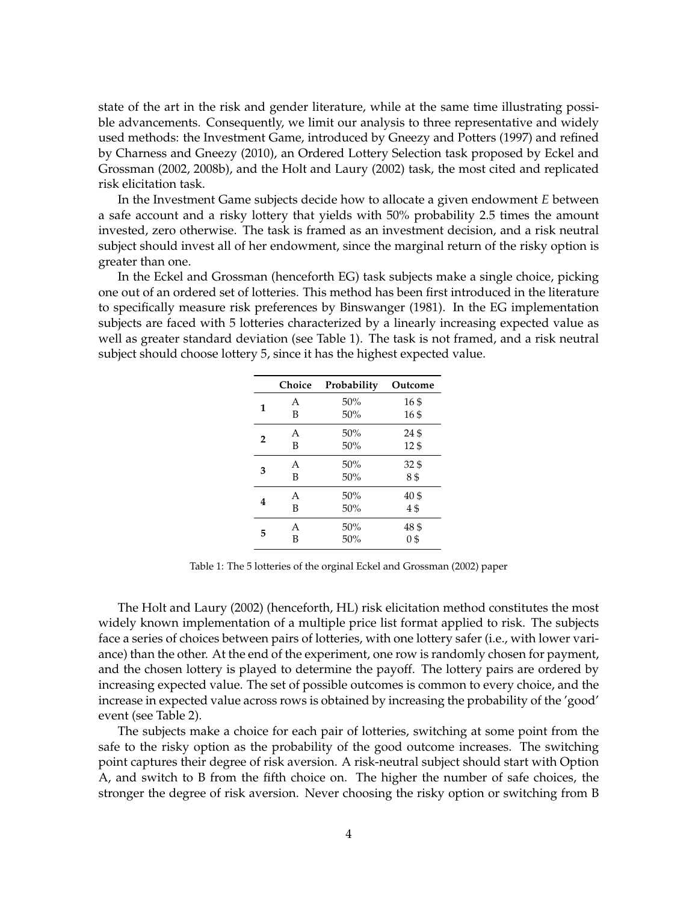state of the art in the risk and gender literature, while at the same time illustrating possible advancements. Consequently, we limit our analysis to three representative and widely used methods: the Investment Game, introduced by Gneezy and Potters (1997) and refined by Charness and Gneezy (2010), an Ordered Lottery Selection task proposed by Eckel and Grossman (2002, 2008b), and the Holt and Laury (2002) task, the most cited and replicated risk elicitation task.

In the Investment Game subjects decide how to allocate a given endowment *E* between a safe account and a risky lottery that yields with 50% probability 2.5 times the amount invested, zero otherwise. The task is framed as an investment decision, and a risk neutral subject should invest all of her endowment, since the marginal return of the risky option is greater than one.

In the Eckel and Grossman (henceforth EG) task subjects make a single choice, picking one out of an ordered set of lotteries. This method has been first introduced in the literature to specifically measure risk preferences by Binswanger (1981). In the EG implementation subjects are faced with 5 lotteries characterized by a linearly increasing expected value as well as greater standard deviation (see Table 1). The task is not framed, and a risk neutral subject should choose lottery 5, since it has the highest expected value.

|   | Choice | Probability | Outcome |
|---|--------|-------------|---------|
| 1 | A      | 50%         | 16\$    |
|   | B      | 50%         | 16\$    |
| 2 | A      | 50%         | 24\$    |
|   | B      | 50%         | 12\$    |
| 3 | A      | 50%         | 32\$    |
|   | B      | 50%         | 8\$     |
| 4 | A      | 50%         | 40\$    |
|   | B      | 50%         | 4\$     |
| 5 | A      | 50%         | 48 \$   |
|   | B      | 50%         | 0\$     |

Table 1: The 5 lotteries of the orginal Eckel and Grossman (2002) paper

The Holt and Laury (2002) (henceforth, HL) risk elicitation method constitutes the most widely known implementation of a multiple price list format applied to risk. The subjects face a series of choices between pairs of lotteries, with one lottery safer (i.e., with lower variance) than the other. At the end of the experiment, one row is randomly chosen for payment, and the chosen lottery is played to determine the payoff. The lottery pairs are ordered by increasing expected value. The set of possible outcomes is common to every choice, and the increase in expected value across rows is obtained by increasing the probability of the 'good' event (see Table 2).

The subjects make a choice for each pair of lotteries, switching at some point from the safe to the risky option as the probability of the good outcome increases. The switching point captures their degree of risk aversion. A risk-neutral subject should start with Option A, and switch to B from the fifth choice on. The higher the number of safe choices, the stronger the degree of risk aversion. Never choosing the risky option or switching from B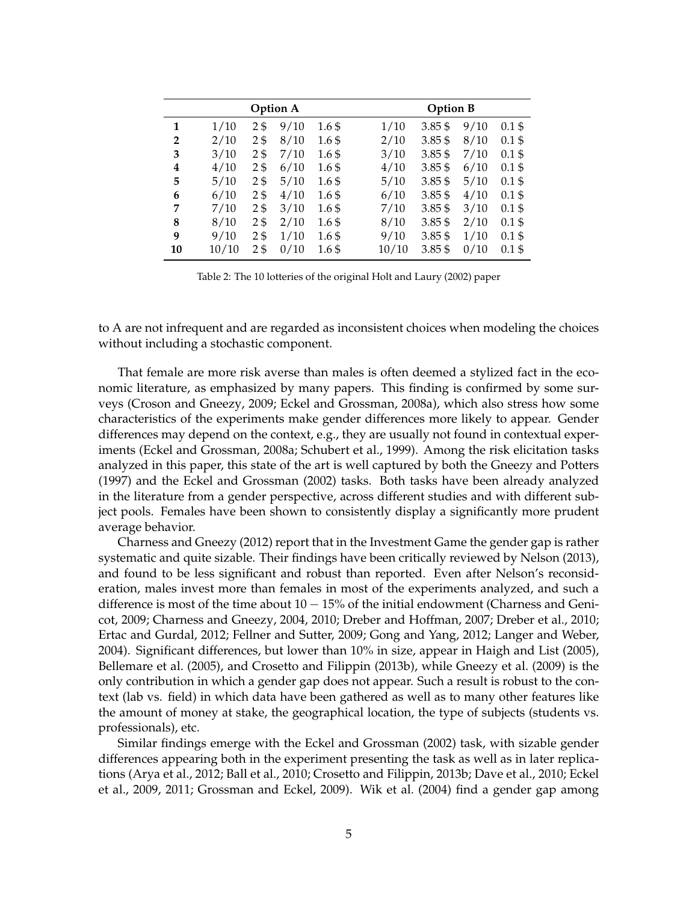| <b>Option A</b> |       |                |      |                    |       | <b>Option B</b> |      |          |  |  |  |
|-----------------|-------|----------------|------|--------------------|-------|-----------------|------|----------|--|--|--|
| 1               | 1/10  | 2\$            | 9/10 | 1.6 <sub>5</sub>   | 1/10  | $3.85\$         | 9/10 | $0.1$ \$ |  |  |  |
| $\overline{2}$  | 2/10  | 2\$            | 8/10 | $1.6\$             | 2/10  | $3.85\$         | 8/10 | $0.1$ \$ |  |  |  |
| 3               | 3/10  | 2\$            | 7/10 | $1.6\$             | 3/10  | $3.85\$         | 7/10 | $0.1$ \$ |  |  |  |
| 4               | 4/10  | 2 <sub>5</sub> | 6/10 | $1.6\,\mathrm{\$}$ | 4/10  | $3.85$ \$       | 6/10 | $0.1$ \$ |  |  |  |
| 5               | 5/10  | 2 <sub>0</sub> | 5/10 | $1.6\,\mathrm{\$}$ | 5/10  | $3.85\$         | 5/10 | $0.1$ \$ |  |  |  |
| 6               | 6/10  | 2 <sub>0</sub> | 4/10 | $1.6\$             | 6/10  | $3.85\$         | 4/10 | $0.1$ \$ |  |  |  |
| 7               | 7/10  | 2\$            | 3/10 | $1.6\$             | 7/10  | $3.85\$         | 3/10 | $0.1$ \$ |  |  |  |
| 8               | 8/10  | 2 <sub>5</sub> | 2/10 | $1.6\,\mathrm{\$}$ | 8/10  | $3.85$ \$       | 2/10 | $0.1$ \$ |  |  |  |
| 9               | 9/10  | 2 <sub>5</sub> | 1/10 | $1.6\,\mathrm{\$}$ | 9/10  | $3.85$ \$       | 1/10 | $0.1$ \$ |  |  |  |
| 10              | 10/10 | 2 <sub>5</sub> | 0/10 | 1.6 \$             | 10/10 | $3.85\$         | 0/10 | $0.1$ \$ |  |  |  |

Table 2: The 10 lotteries of the original Holt and Laury (2002) paper

to A are not infrequent and are regarded as inconsistent choices when modeling the choices without including a stochastic component.

That female are more risk averse than males is often deemed a stylized fact in the economic literature, as emphasized by many papers. This finding is confirmed by some surveys (Croson and Gneezy, 2009; Eckel and Grossman, 2008a), which also stress how some characteristics of the experiments make gender differences more likely to appear. Gender differences may depend on the context, e.g., they are usually not found in contextual experiments (Eckel and Grossman, 2008a; Schubert et al., 1999). Among the risk elicitation tasks analyzed in this paper, this state of the art is well captured by both the Gneezy and Potters (1997) and the Eckel and Grossman (2002) tasks. Both tasks have been already analyzed in the literature from a gender perspective, across different studies and with different subject pools. Females have been shown to consistently display a significantly more prudent average behavior.

Charness and Gneezy (2012) report that in the Investment Game the gender gap is rather systematic and quite sizable. Their findings have been critically reviewed by Nelson (2013), and found to be less significant and robust than reported. Even after Nelson's reconsideration, males invest more than females in most of the experiments analyzed, and such a difference is most of the time about  $10 - 15%$  of the initial endowment (Charness and Genicot, 2009; Charness and Gneezy, 2004, 2010; Dreber and Hoffman, 2007; Dreber et al., 2010; Ertac and Gurdal, 2012; Fellner and Sutter, 2009; Gong and Yang, 2012; Langer and Weber, 2004). Significant differences, but lower than 10% in size, appear in Haigh and List (2005), Bellemare et al. (2005), and Crosetto and Filippin (2013b), while Gneezy et al. (2009) is the only contribution in which a gender gap does not appear. Such a result is robust to the context (lab vs. field) in which data have been gathered as well as to many other features like the amount of money at stake, the geographical location, the type of subjects (students vs. professionals), etc.

Similar findings emerge with the Eckel and Grossman (2002) task, with sizable gender differences appearing both in the experiment presenting the task as well as in later replications (Arya et al., 2012; Ball et al., 2010; Crosetto and Filippin, 2013b; Dave et al., 2010; Eckel et al., 2009, 2011; Grossman and Eckel, 2009). Wik et al. (2004) find a gender gap among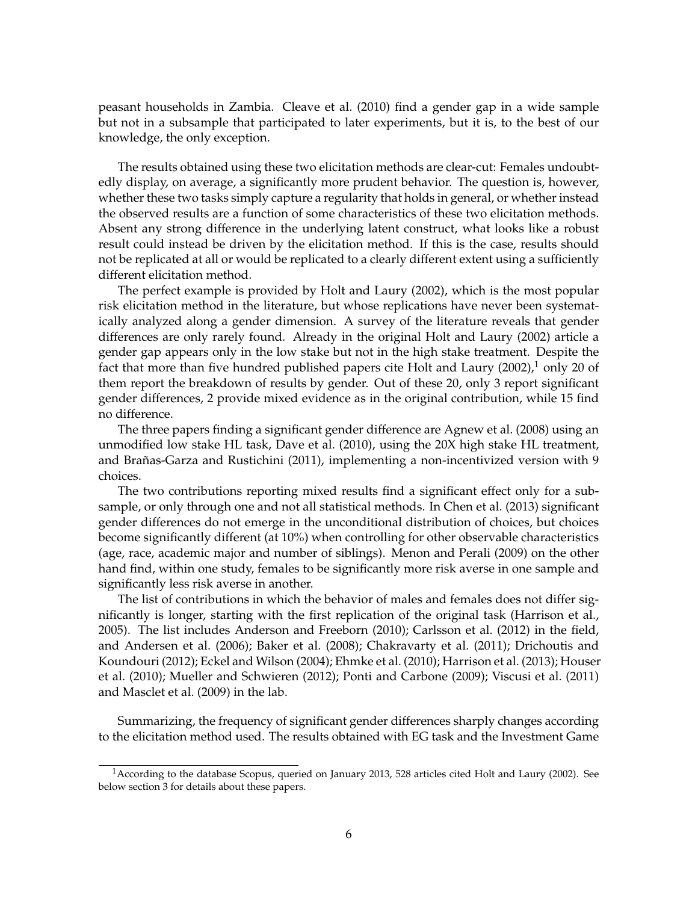peasant households in Zambia. Cleave et al. (2010) find a gender gap in a wide sample but not in a subsample that participated to later experiments, but it is, to the best of our knowledge, the only exception.

The results obtained using these two elicitation methods are clear-cut: Females undoubtedly display, on average, a significantly more prudent behavior. The question is, however, whether these two tasks simply capture a regularity that holds in general, or whether instead the observed results are a function of some characteristics of these two elicitation methods. Absent any strong difference in the underlying latent construct, what looks like a robust result could instead be driven by the elicitation method. If this is the case, results should not be replicated at all or would be replicated to a clearly different extent using a sufficiently different elicitation method.

The perfect example is provided by Holt and Laury (2002), which is the most popular risk elicitation method in the literature, but whose replications have never been systematically analyzed along a gender dimension. A survey of the literature reveals that gender differences are only rarely found. Already in the original Holt and Laury (2002) article a gender gap appears only in the low stake but not in the high stake treatment. Despite the fact that more than five hundred published papers cite Holt and Laury  $(2002)$ , only 20 of them report the breakdown of results by gender. Out of these 20, only 3 report significant gender differences, 2 provide mixed evidence as in the original contribution, while 15 find no difference.

The three papers finding a significant gender difference are Agnew et al. (2008) using an unmodified low stake HL task, Dave et al. (2010), using the 20X high stake HL treatment, and Brañas-Garza and Rustichini (2011), implementing a non-incentivized version with 9 choices.

The two contributions reporting mixed results find a significant effect only for a subsample, or only through one and not all statistical methods. In Chen et al. (2013) significant gender differences do not emerge in the unconditional distribution of choices, but choices become significantly different (at 10%) when controlling for other observable characteristics (age, race, academic major and number of siblings). Menon and Perali (2009) on the other hand find, within one study, females to be significantly more risk averse in one sample and significantly less risk averse in another.

The list of contributions in which the behavior of males and females does not differ significantly is longer, starting with the first replication of the original task (Harrison et al., 2005). The list includes Anderson and Freeborn (2010); Carlsson et al. (2012) in the field, and Andersen et al. (2006); Baker et al. (2008); Chakravarty et al. (2011); Drichoutis and Koundouri (2012); Eckel and Wilson (2004); Ehmke et al. (2010); Harrison et al. (2013); Houser et al. (2010); Mueller and Schwieren (2012); Ponti and Carbone (2009); Viscusi et al. (2011) and Masclet et al. (2009) in the lab.

Summarizing, the frequency of significant gender differences sharply changes according to the elicitation method used. The results obtained with EG task and the Investment Game

<sup>1</sup>According to the database Scopus, queried on January 2013, 528 articles cited Holt and Laury (2002). See below section 3 for details about these papers.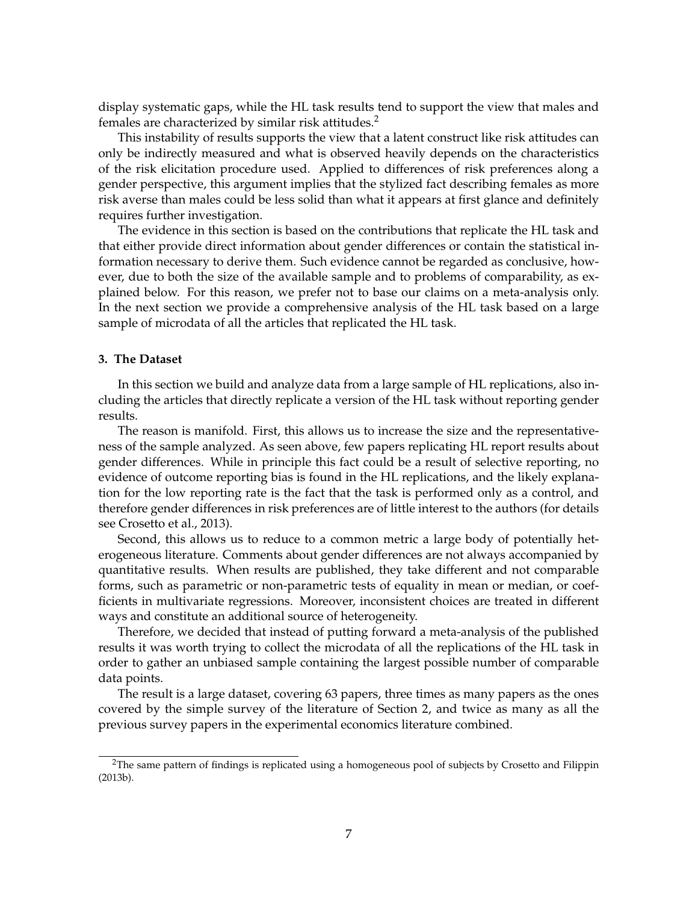display systematic gaps, while the HL task results tend to support the view that males and females are characterized by similar risk attitudes.<sup>2</sup>

This instability of results supports the view that a latent construct like risk attitudes can only be indirectly measured and what is observed heavily depends on the characteristics of the risk elicitation procedure used. Applied to differences of risk preferences along a gender perspective, this argument implies that the stylized fact describing females as more risk averse than males could be less solid than what it appears at first glance and definitely requires further investigation.

The evidence in this section is based on the contributions that replicate the HL task and that either provide direct information about gender differences or contain the statistical information necessary to derive them. Such evidence cannot be regarded as conclusive, however, due to both the size of the available sample and to problems of comparability, as explained below. For this reason, we prefer not to base our claims on a meta-analysis only. In the next section we provide a comprehensive analysis of the HL task based on a large sample of microdata of all the articles that replicated the HL task.

#### **3. The Dataset**

In this section we build and analyze data from a large sample of HL replications, also including the articles that directly replicate a version of the HL task without reporting gender results.

The reason is manifold. First, this allows us to increase the size and the representativeness of the sample analyzed. As seen above, few papers replicating HL report results about gender differences. While in principle this fact could be a result of selective reporting, no evidence of outcome reporting bias is found in the HL replications, and the likely explanation for the low reporting rate is the fact that the task is performed only as a control, and therefore gender differences in risk preferences are of little interest to the authors (for details see Crosetto et al., 2013).

Second, this allows us to reduce to a common metric a large body of potentially heterogeneous literature. Comments about gender differences are not always accompanied by quantitative results. When results are published, they take different and not comparable forms, such as parametric or non-parametric tests of equality in mean or median, or coefficients in multivariate regressions. Moreover, inconsistent choices are treated in different ways and constitute an additional source of heterogeneity.

Therefore, we decided that instead of putting forward a meta-analysis of the published results it was worth trying to collect the microdata of all the replications of the HL task in order to gather an unbiased sample containing the largest possible number of comparable data points.

The result is a large dataset, covering 63 papers, three times as many papers as the ones covered by the simple survey of the literature of Section 2, and twice as many as all the previous survey papers in the experimental economics literature combined.

<sup>&</sup>lt;sup>2</sup>The same pattern of findings is replicated using a homogeneous pool of subjects by Crosetto and Filippin (2013b).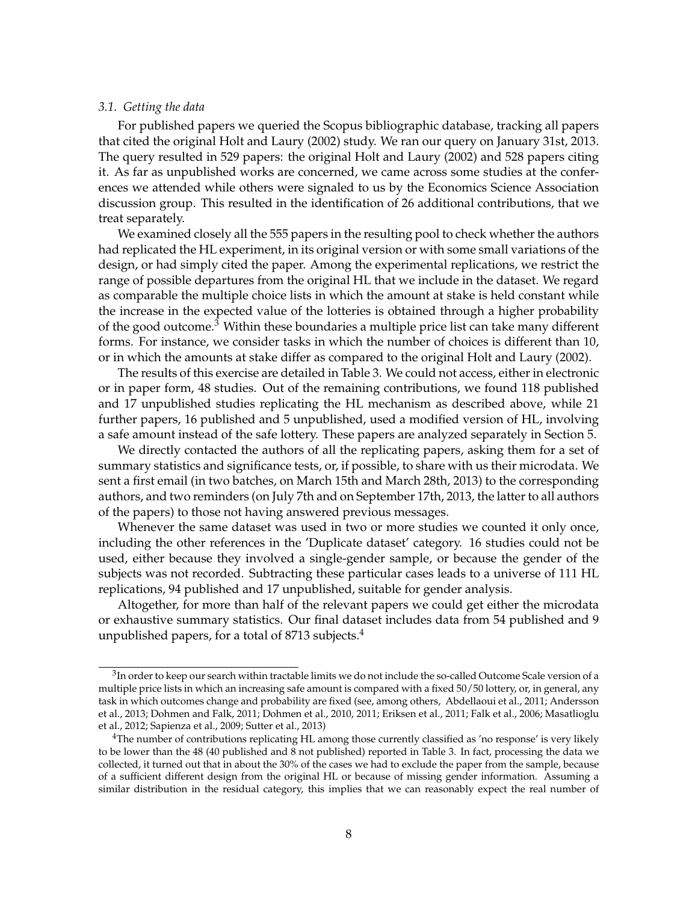#### *3.1. Getting the data*

For published papers we queried the Scopus bibliographic database, tracking all papers that cited the original Holt and Laury (2002) study. We ran our query on January 31st, 2013. The query resulted in 529 papers: the original Holt and Laury (2002) and 528 papers citing it. As far as unpublished works are concerned, we came across some studies at the conferences we attended while others were signaled to us by the Economics Science Association discussion group. This resulted in the identification of 26 additional contributions, that we treat separately.

We examined closely all the 555 papers in the resulting pool to check whether the authors had replicated the HL experiment, in its original version or with some small variations of the design, or had simply cited the paper. Among the experimental replications, we restrict the range of possible departures from the original HL that we include in the dataset. We regard as comparable the multiple choice lists in which the amount at stake is held constant while the increase in the expected value of the lotteries is obtained through a higher probability of the good outcome.<sup>3</sup> Within these boundaries a multiple price list can take many different forms. For instance, we consider tasks in which the number of choices is different than 10, or in which the amounts at stake differ as compared to the original Holt and Laury (2002).

The results of this exercise are detailed in Table 3. We could not access, either in electronic or in paper form, 48 studies. Out of the remaining contributions, we found 118 published and 17 unpublished studies replicating the HL mechanism as described above, while 21 further papers, 16 published and 5 unpublished, used a modified version of HL, involving a safe amount instead of the safe lottery. These papers are analyzed separately in Section 5.

We directly contacted the authors of all the replicating papers, asking them for a set of summary statistics and significance tests, or, if possible, to share with us their microdata. We sent a first email (in two batches, on March 15th and March 28th, 2013) to the corresponding authors, and two reminders (on July 7th and on September 17th, 2013, the latter to all authors of the papers) to those not having answered previous messages.

Whenever the same dataset was used in two or more studies we counted it only once, including the other references in the 'Duplicate dataset' category. 16 studies could not be used, either because they involved a single-gender sample, or because the gender of the subjects was not recorded. Subtracting these particular cases leads to a universe of 111 HL replications, 94 published and 17 unpublished, suitable for gender analysis.

Altogether, for more than half of the relevant papers we could get either the microdata or exhaustive summary statistics. Our final dataset includes data from 54 published and 9 unpublished papers, for a total of  $8713$  subjects.<sup>4</sup>

 $^3$ In order to keep our search within tractable limits we do not include the so-called Outcome Scale version of a multiple price lists in which an increasing safe amount is compared with a fixed 50/50 lottery, or, in general, any task in which outcomes change and probability are fixed (see, among others, Abdellaoui et al., 2011; Andersson et al., 2013; Dohmen and Falk, 2011; Dohmen et al., 2010, 2011; Eriksen et al., 2011; Falk et al., 2006; Masatlioglu et al., 2012; Sapienza et al., 2009; Sutter et al., 2013)

<sup>4</sup>The number of contributions replicating HL among those currently classified as 'no response' is very likely to be lower than the 48 (40 published and 8 not published) reported in Table 3. In fact, processing the data we collected, it turned out that in about the 30% of the cases we had to exclude the paper from the sample, because of a sufficient different design from the original HL or because of missing gender information. Assuming a similar distribution in the residual category, this implies that we can reasonably expect the real number of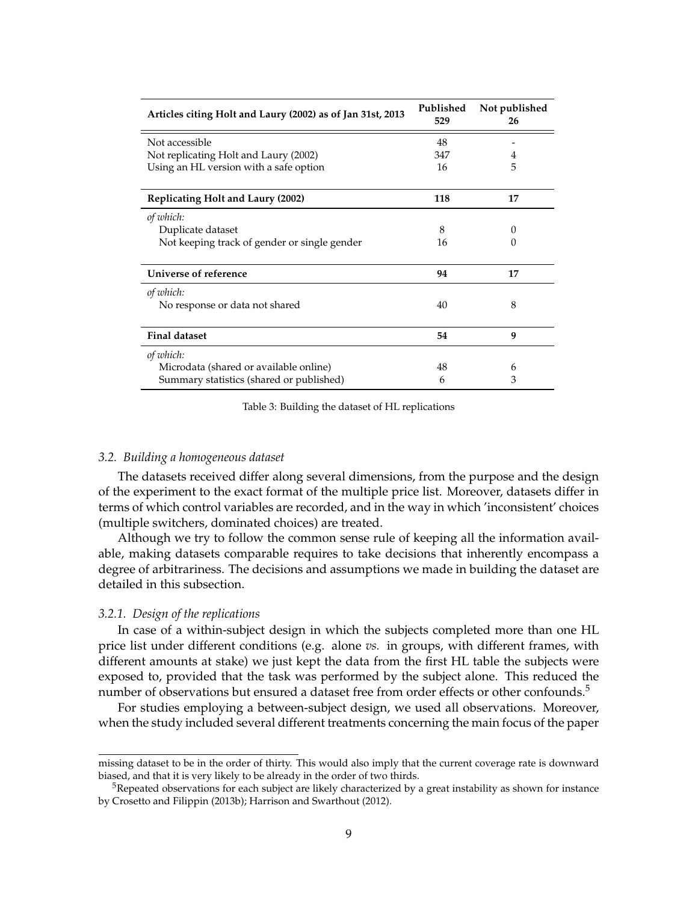| Articles citing Holt and Laury (2002) as of Jan 31st, 2013 | Published<br>529 | Not published<br>26 |
|------------------------------------------------------------|------------------|---------------------|
| Not accessible                                             | 48               |                     |
| Not replicating Holt and Laury (2002)                      | 347              | 4                   |
| Using an HL version with a safe option                     | 16               | 5                   |
| <b>Replicating Holt and Laury (2002)</b>                   | 118              | 17                  |
| of which:                                                  |                  |                     |
| Duplicate dataset                                          | 8                | 0                   |
| Not keeping track of gender or single gender               | 16               | $\mathbf{0}$        |
| Universe of reference                                      | 94               | 17                  |
| of which:                                                  |                  |                     |
| No response or data not shared                             | 40               | 8                   |
| <b>Final dataset</b>                                       | 54               | 9                   |
| of which:                                                  |                  |                     |
| Microdata (shared or available online)                     | 48               | 6                   |
| Summary statistics (shared or published)                   | 6                | 3                   |

Table 3: Building the dataset of HL replications

#### *3.2. Building a homogeneous dataset*

The datasets received differ along several dimensions, from the purpose and the design of the experiment to the exact format of the multiple price list. Moreover, datasets differ in terms of which control variables are recorded, and in the way in which 'inconsistent' choices (multiple switchers, dominated choices) are treated.

Although we try to follow the common sense rule of keeping all the information available, making datasets comparable requires to take decisions that inherently encompass a degree of arbitrariness. The decisions and assumptions we made in building the dataset are detailed in this subsection.

#### *3.2.1. Design of the replications*

In case of a within-subject design in which the subjects completed more than one HL price list under different conditions (e.g. alone *vs.* in groups, with different frames, with different amounts at stake) we just kept the data from the first HL table the subjects were exposed to, provided that the task was performed by the subject alone. This reduced the number of observations but ensured a dataset free from order effects or other confounds.<sup>5</sup>

For studies employing a between-subject design, we used all observations. Moreover, when the study included several different treatments concerning the main focus of the paper

missing dataset to be in the order of thirty. This would also imply that the current coverage rate is downward biased, and that it is very likely to be already in the order of two thirds.

 $5R$ epeated observations for each subject are likely characterized by a great instability as shown for instance by Crosetto and Filippin (2013b); Harrison and Swarthout (2012).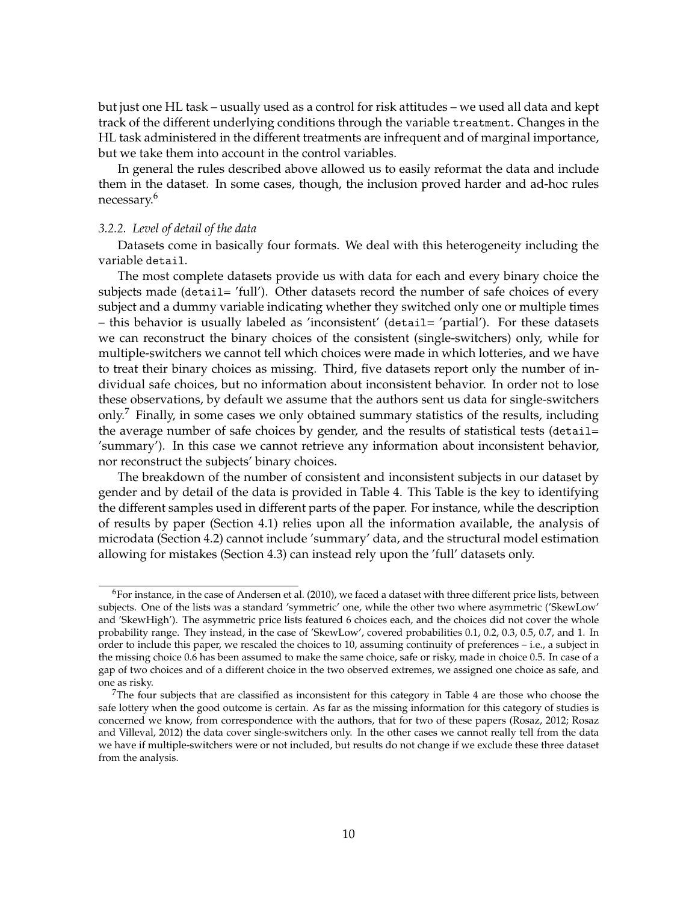but just one HL task – usually used as a control for risk attitudes – we used all data and kept track of the different underlying conditions through the variable treatment. Changes in the HL task administered in the different treatments are infrequent and of marginal importance, but we take them into account in the control variables.

In general the rules described above allowed us to easily reformat the data and include them in the dataset. In some cases, though, the inclusion proved harder and ad-hoc rules necessary.<sup>6</sup>

#### *3.2.2. Level of detail of the data*

Datasets come in basically four formats. We deal with this heterogeneity including the variable detail.

The most complete datasets provide us with data for each and every binary choice the subjects made (detail= 'full'). Other datasets record the number of safe choices of every subject and a dummy variable indicating whether they switched only one or multiple times – this behavior is usually labeled as 'inconsistent' (detail= 'partial'). For these datasets we can reconstruct the binary choices of the consistent (single-switchers) only, while for multiple-switchers we cannot tell which choices were made in which lotteries, and we have to treat their binary choices as missing. Third, five datasets report only the number of individual safe choices, but no information about inconsistent behavior. In order not to lose these observations, by default we assume that the authors sent us data for single-switchers only.<sup>7</sup> Finally, in some cases we only obtained summary statistics of the results, including the average number of safe choices by gender, and the results of statistical tests (detail= 'summary'). In this case we cannot retrieve any information about inconsistent behavior, nor reconstruct the subjects' binary choices.

The breakdown of the number of consistent and inconsistent subjects in our dataset by gender and by detail of the data is provided in Table 4. This Table is the key to identifying the different samples used in different parts of the paper. For instance, while the description of results by paper (Section 4.1) relies upon all the information available, the analysis of microdata (Section 4.2) cannot include 'summary' data, and the structural model estimation allowing for mistakes (Section 4.3) can instead rely upon the 'full' datasets only.

 $6$ For instance, in the case of Andersen et al. (2010), we faced a dataset with three different price lists, between subjects. One of the lists was a standard 'symmetric' one, while the other two where asymmetric ('SkewLow' and 'SkewHigh'). The asymmetric price lists featured 6 choices each, and the choices did not cover the whole probability range. They instead, in the case of 'SkewLow', covered probabilities 0.1, 0.2, 0.3, 0.5, 0.7, and 1. In order to include this paper, we rescaled the choices to 10, assuming continuity of preferences – i.e., a subject in the missing choice 0.6 has been assumed to make the same choice, safe or risky, made in choice 0.5. In case of a gap of two choices and of a different choice in the two observed extremes, we assigned one choice as safe, and one as risky.

<sup>7</sup>The four subjects that are classified as inconsistent for this category in Table 4 are those who choose the safe lottery when the good outcome is certain. As far as the missing information for this category of studies is concerned we know, from correspondence with the authors, that for two of these papers (Rosaz, 2012; Rosaz and Villeval, 2012) the data cover single-switchers only. In the other cases we cannot really tell from the data we have if multiple-switchers were or not included, but results do not change if we exclude these three dataset from the analysis.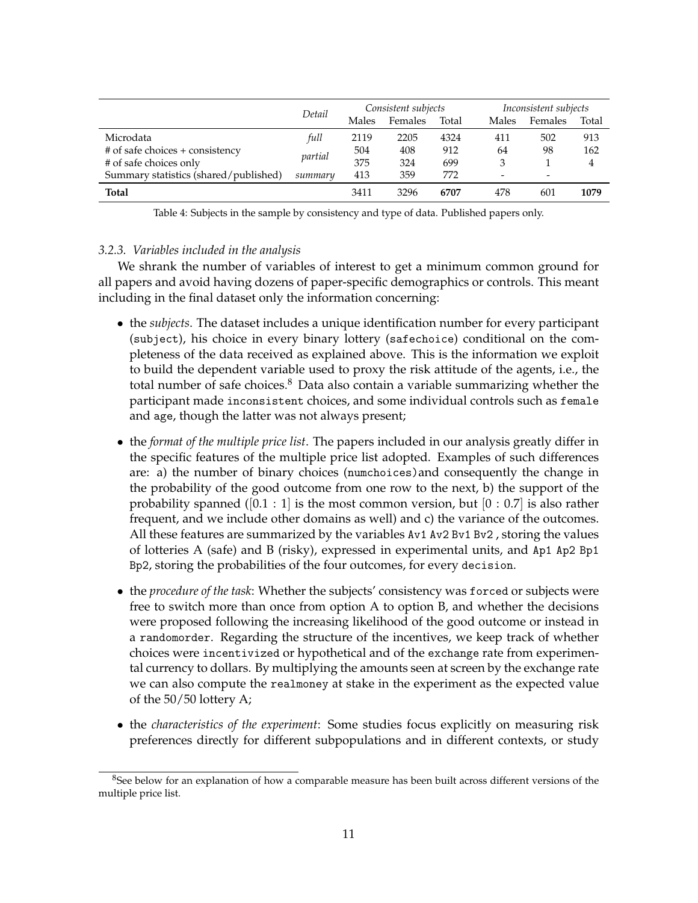|                                       | Detail  | Consistent subjects |         |       |       | Inconsistent subjects |       |  |
|---------------------------------------|---------|---------------------|---------|-------|-------|-----------------------|-------|--|
|                                       |         | Males               | Females | Total | Males | Females               | Total |  |
| Microdata                             | full    | 2119                | 2205    | 4324  | 411   | 502                   | 913   |  |
| # of safe choices + consistency       |         | 504                 | 408     | 912   | 64    | 98                    | 162   |  |
| # of safe choices only                | partial | 375                 | 324     | 699   | 3     |                       | 4     |  |
| Summary statistics (shared/published) | summary | 413                 | 359     | 772   | -     | -                     |       |  |
| <b>Total</b>                          |         | 3411                | 3296    | 6707  | 478   | 601                   | 1079  |  |

Table 4: Subjects in the sample by consistency and type of data. Published papers only.

#### *3.2.3. Variables included in the analysis*

We shrank the number of variables of interest to get a minimum common ground for all papers and avoid having dozens of paper-specific demographics or controls. This meant including in the final dataset only the information concerning:

- the *subjects*. The dataset includes a unique identification number for every participant (subject), his choice in every binary lottery (safechoice) conditional on the completeness of the data received as explained above. This is the information we exploit to build the dependent variable used to proxy the risk attitude of the agents, i.e., the total number of safe choices. $8$  Data also contain a variable summarizing whether the participant made inconsistent choices, and some individual controls such as female and age, though the latter was not always present;
- the *format of the multiple price list*. The papers included in our analysis greatly differ in the specific features of the multiple price list adopted. Examples of such differences are: a) the number of binary choices (numchoices)and consequently the change in the probability of the good outcome from one row to the next, b) the support of the probability spanned ( $[0.1 : 1]$  is the most common version, but  $[0 : 0.7]$  is also rather frequent, and we include other domains as well) and c) the variance of the outcomes. All these features are summarized by the variables Av1 Av2 Bv1 Bv2 , storing the values of lotteries A (safe) and B (risky), expressed in experimental units, and Ap1 Ap2 Bp1 Bp2, storing the probabilities of the four outcomes, for every decision.
- the *procedure of the task*: Whether the subjects' consistency was forced or subjects were free to switch more than once from option A to option B, and whether the decisions were proposed following the increasing likelihood of the good outcome or instead in a randomorder. Regarding the structure of the incentives, we keep track of whether choices were incentivized or hypothetical and of the exchange rate from experimental currency to dollars. By multiplying the amounts seen at screen by the exchange rate we can also compute the realmoney at stake in the experiment as the expected value of the 50/50 lottery A;
- the *characteristics of the experiment*: Some studies focus explicitly on measuring risk preferences directly for different subpopulations and in different contexts, or study

<sup>8</sup>See below for an explanation of how a comparable measure has been built across different versions of the multiple price list.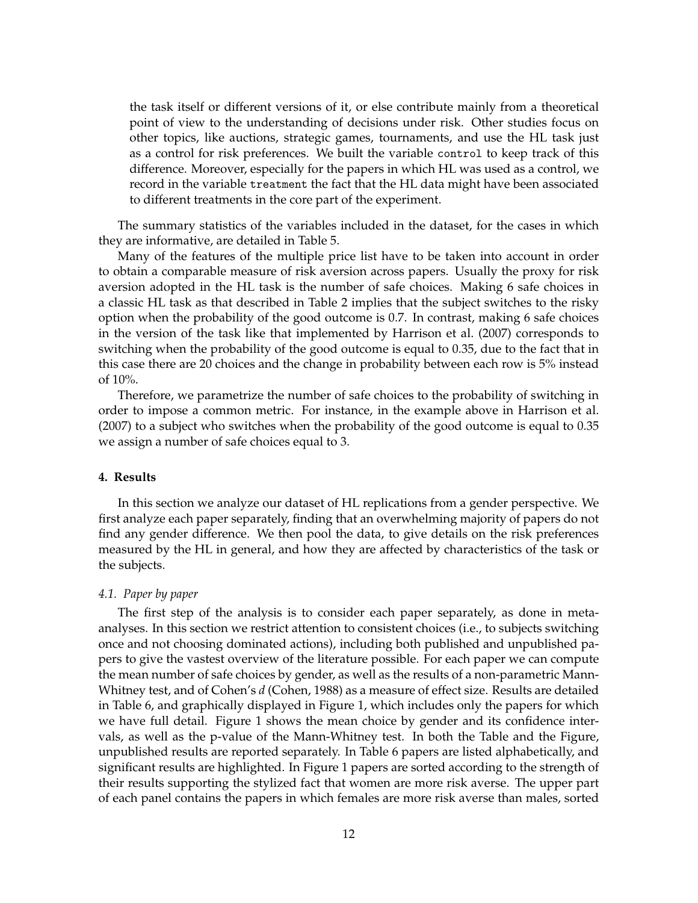the task itself or different versions of it, or else contribute mainly from a theoretical point of view to the understanding of decisions under risk. Other studies focus on other topics, like auctions, strategic games, tournaments, and use the HL task just as a control for risk preferences. We built the variable control to keep track of this difference. Moreover, especially for the papers in which HL was used as a control, we record in the variable treatment the fact that the HL data might have been associated to different treatments in the core part of the experiment.

The summary statistics of the variables included in the dataset, for the cases in which they are informative, are detailed in Table 5.

Many of the features of the multiple price list have to be taken into account in order to obtain a comparable measure of risk aversion across papers. Usually the proxy for risk aversion adopted in the HL task is the number of safe choices. Making 6 safe choices in a classic HL task as that described in Table 2 implies that the subject switches to the risky option when the probability of the good outcome is 0.7. In contrast, making 6 safe choices in the version of the task like that implemented by Harrison et al. (2007) corresponds to switching when the probability of the good outcome is equal to 0.35, due to the fact that in this case there are 20 choices and the change in probability between each row is 5% instead of 10%.

Therefore, we parametrize the number of safe choices to the probability of switching in order to impose a common metric. For instance, in the example above in Harrison et al. (2007) to a subject who switches when the probability of the good outcome is equal to 0.35 we assign a number of safe choices equal to 3.

#### **4. Results**

In this section we analyze our dataset of HL replications from a gender perspective. We first analyze each paper separately, finding that an overwhelming majority of papers do not find any gender difference. We then pool the data, to give details on the risk preferences measured by the HL in general, and how they are affected by characteristics of the task or the subjects.

#### *4.1. Paper by paper*

The first step of the analysis is to consider each paper separately, as done in metaanalyses. In this section we restrict attention to consistent choices (i.e., to subjects switching once and not choosing dominated actions), including both published and unpublished papers to give the vastest overview of the literature possible. For each paper we can compute the mean number of safe choices by gender, as well as the results of a non-parametric Mann-Whitney test, and of Cohen's *d* (Cohen, 1988) as a measure of effect size. Results are detailed in Table 6, and graphically displayed in Figure 1, which includes only the papers for which we have full detail. Figure 1 shows the mean choice by gender and its confidence intervals, as well as the p-value of the Mann-Whitney test. In both the Table and the Figure, unpublished results are reported separately. In Table 6 papers are listed alphabetically, and significant results are highlighted. In Figure 1 papers are sorted according to the strength of their results supporting the stylized fact that women are more risk averse. The upper part of each panel contains the papers in which females are more risk averse than males, sorted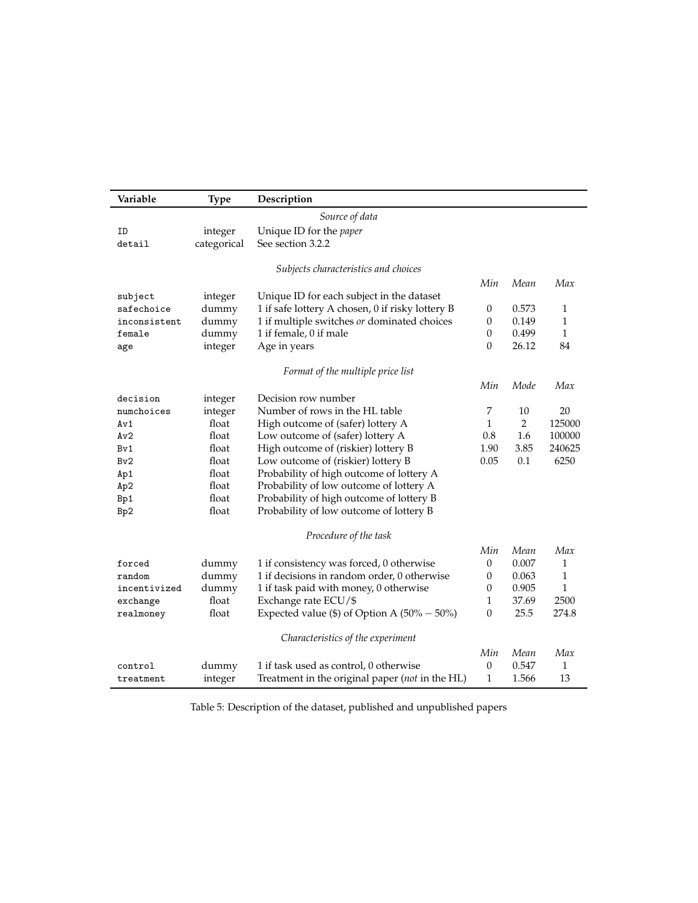| Variable     | <b>Type</b> | Description                                      |                  |                |              |
|--------------|-------------|--------------------------------------------------|------------------|----------------|--------------|
|              |             | Source of data                                   |                  |                |              |
| ID           | integer     | Unique ID for the <i>paper</i>                   |                  |                |              |
| detail       | categorical | See section 3.2.2                                |                  |                |              |
|              |             |                                                  |                  |                |              |
|              |             | Subjects characteristics and choices             |                  |                |              |
|              |             |                                                  | Min              | Mean           | Max          |
| subject      | integer     | Unique ID for each subject in the dataset        |                  |                |              |
| safechoice   | dummy       | 1 if safe lottery A chosen, 0 if risky lottery B | $\boldsymbol{0}$ | 0.573          | $\mathbf{1}$ |
| inconsistent | dummy       | 1 if multiple switches or dominated choices      | $\mathbf{0}$     | 0.149          | 1            |
| female       | dummy       | 1 if female, 0 if male                           | $\boldsymbol{0}$ | 0.499          | $\mathbf{1}$ |
| age          | integer     | Age in years                                     | $\theta$         | 26.12          | 84           |
|              |             | Format of the multiple price list                |                  |                |              |
|              |             |                                                  |                  |                |              |
|              |             |                                                  | Min              | Mode           | Max          |
| decision     | integer     | Decision row number                              |                  |                |              |
| numchoices   | integer     | Number of rows in the HL table                   | 7                | 10             | 20           |
| Av1          | float       | High outcome of (safer) lottery A                | $\mathbf{1}$     | $\overline{2}$ | 125000       |
| Av2          | float       | Low outcome of (safer) lottery A                 | 0.8              | 1.6            | 100000       |
| Bv1          | float       | High outcome of (riskier) lottery B              | 1.90             | 3.85           | 240625       |
| Bv2          | float       | Low outcome of (riskier) lottery B               | 0.05             | 0.1            | 6250         |
| Ap1          | float       | Probability of high outcome of lottery A         |                  |                |              |
| Ap2          | float       | Probability of low outcome of lottery A          |                  |                |              |
| Bp1          | float       | Probability of high outcome of lottery B         |                  |                |              |
| Bp2          | float       | Probability of low outcome of lottery B          |                  |                |              |
|              |             | Procedure of the task                            |                  |                |              |
|              |             |                                                  | Min              | Mean           | Max          |
| forced       | dummy       | 1 if consistency was forced, 0 otherwise         | $\mathbf{0}$     | 0.007          | 1            |
| random       | dummy       | 1 if decisions in random order, 0 otherwise      | $\boldsymbol{0}$ | 0.063          | 1            |
| incentivized | dummy       | 1 if task paid with money, 0 otherwise           | $\mathbf{0}$     | 0.905          | $\mathbf{1}$ |
| exchange     | float       | Exchange rate ECU/\$                             | $\mathbf{1}$     | 37.69          | 2500         |
| realmoney    | float       | Expected value (\$) of Option A $(50\% - 50\%)$  | $\mathbf{0}$     | 25.5           | 274.8        |
|              |             |                                                  |                  |                |              |
|              |             | Characteristics of the experiment                |                  |                |              |
|              |             |                                                  | Min              | Mean           | Max          |
| control      | dummy       | 1 if task used as control, 0 otherwise           | $\theta$         | 0.547          | 1            |
| treatment    | integer     | Treatment in the original paper (not in the HL)  | $\mathbf{1}$     | 1.566          | 13           |

Table 5: Description of the dataset, published and unpublished papers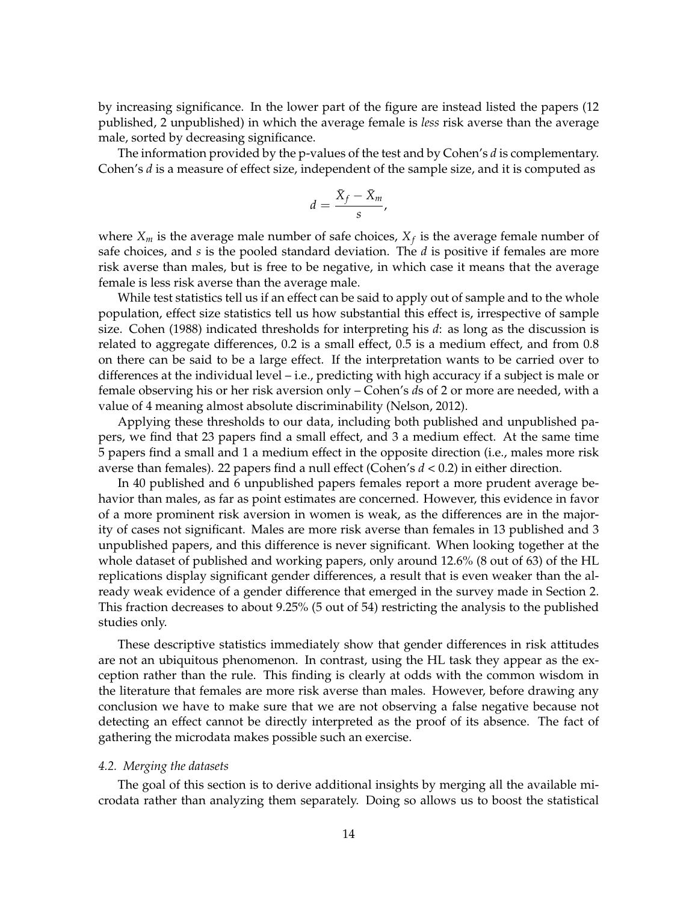by increasing significance. In the lower part of the figure are instead listed the papers (12 published, 2 unpublished) in which the average female is *less* risk averse than the average male, sorted by decreasing significance.

The information provided by the p-values of the test and by Cohen's *d* is complementary. Cohen's *d* is a measure of effect size, independent of the sample size, and it is computed as

$$
d=\frac{\bar{X}_f-\bar{X}_m}{s},
$$

where  $X_m$  is the average male number of safe choices,  $X_f$  is the average female number of safe choices, and *s* is the pooled standard deviation. The *d* is positive if females are more risk averse than males, but is free to be negative, in which case it means that the average female is less risk averse than the average male.

While test statistics tell us if an effect can be said to apply out of sample and to the whole population, effect size statistics tell us how substantial this effect is, irrespective of sample size. Cohen (1988) indicated thresholds for interpreting his *d*: as long as the discussion is related to aggregate differences, 0.2 is a small effect, 0.5 is a medium effect, and from 0.8 on there can be said to be a large effect. If the interpretation wants to be carried over to differences at the individual level – i.e., predicting with high accuracy if a subject is male or female observing his or her risk aversion only – Cohen's *d*s of 2 or more are needed, with a value of 4 meaning almost absolute discriminability (Nelson, 2012).

Applying these thresholds to our data, including both published and unpublished papers, we find that 23 papers find a small effect, and 3 a medium effect. At the same time 5 papers find a small and 1 a medium effect in the opposite direction (i.e., males more risk averse than females). 22 papers find a null effect (Cohen's *d* < 0.2) in either direction.

In 40 published and 6 unpublished papers females report a more prudent average behavior than males, as far as point estimates are concerned. However, this evidence in favor of a more prominent risk aversion in women is weak, as the differences are in the majority of cases not significant. Males are more risk averse than females in 13 published and 3 unpublished papers, and this difference is never significant. When looking together at the whole dataset of published and working papers, only around 12.6% (8 out of 63) of the HL replications display significant gender differences, a result that is even weaker than the already weak evidence of a gender difference that emerged in the survey made in Section 2. This fraction decreases to about 9.25% (5 out of 54) restricting the analysis to the published studies only.

These descriptive statistics immediately show that gender differences in risk attitudes are not an ubiquitous phenomenon. In contrast, using the HL task they appear as the exception rather than the rule. This finding is clearly at odds with the common wisdom in the literature that females are more risk averse than males. However, before drawing any conclusion we have to make sure that we are not observing a false negative because not detecting an effect cannot be directly interpreted as the proof of its absence. The fact of gathering the microdata makes possible such an exercise.

#### *4.2. Merging the datasets*

The goal of this section is to derive additional insights by merging all the available microdata rather than analyzing them separately. Doing so allows us to boost the statistical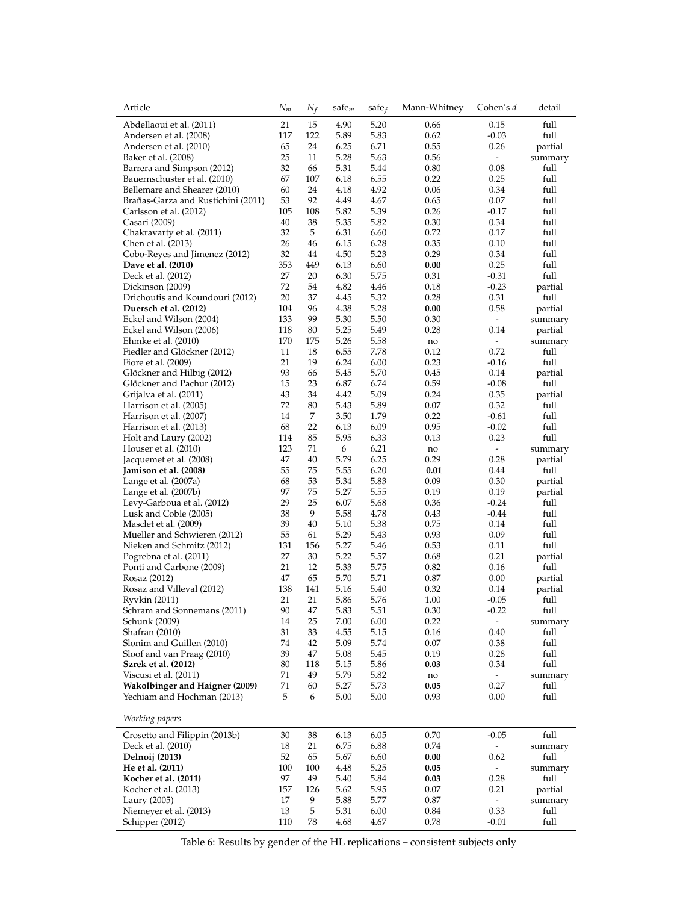| Article                                       | $N_m$     | $N_f$    | $safe_m$     | safe $_f$    | Mann-Whitney | Cohen's d                | detail          |
|-----------------------------------------------|-----------|----------|--------------|--------------|--------------|--------------------------|-----------------|
| Abdellaoui et al. (2011)                      | 21        | 15       | 4.90         | 5.20         | 0.66         | 0.15                     | full            |
| Andersen et al. (2008)                        | 117<br>65 | 122      | 5.89<br>6.25 | 5.83<br>6.71 | 0.62<br>0.55 | $-0.03$<br>0.26          | full            |
| Andersen et al. (2010)<br>Baker et al. (2008) | 25        | 24<br>11 | 5.28         | 5.63         | 0.56         | $\sim$                   | partial         |
| Barrera and Simpson (2012)                    | 32        | 66       | 5.31         | 5.44         | 0.80         | 0.08                     | summary<br>full |
| Bauernschuster et al. (2010)                  | 67        | 107      | 6.18         | 6.55         | 0.22         | 0.25                     | full            |
| Bellemare and Shearer (2010)                  | 60        | 24       | 4.18         | 4.92         | 0.06         | 0.34                     | full            |
| Brañas-Garza and Rustichini (2011)            | 53        | 92       | 4.49         | 4.67         | 0.65         | 0.07                     | full            |
| Carlsson et al. (2012)                        | 105       | 108      | 5.82         | 5.39         | 0.26         | $-0.17$                  | full            |
| Casari (2009)                                 | 40        | 38       | 5.35         | 5.82         | 0.30         | 0.34                     | full            |
| Chakravarty et al. (2011)                     | 32        | 5        | 6.31         | 6.60         | 0.72         | 0.17                     | full            |
| Chen et al. (2013)                            | 26        | 46       | 6.15         | 6.28         | 0.35         | 0.10                     | full            |
| Cobo-Reyes and Jimenez (2012)                 | 32        | 44       | 4.50         | 5.23         | 0.29         | 0.34                     | full            |
| Dave et al. (2010)                            | 353       | 449      | 6.13         | 6.60         | 0.00         | 0.25                     | full            |
| Deck et al. (2012)                            | 27        | 20       | 6.30         | 5.75         | 0.31         | $-0.31$                  | full            |
| Dickinson (2009)                              | 72        | 54       | 4.82         | 4.46         | 0.18         | $-0.23$                  | partial         |
| Drichoutis and Koundouri (2012)               | 20        | 37       | 4.45         | 5.32         | 0.28         | 0.31                     | full            |
| Duersch et al. (2012)                         | 104       | 96       | 4.38         | 5.28         | 0.00         | 0.58                     | partial         |
| Eckel and Wilson (2004)                       | 133       | 99       | 5.30         | 5.50         | 0.30         | $\sim$                   | summary         |
| Eckel and Wilson (2006)                       | 118       | 80       | 5.25         | 5.49         | 0.28         | 0.14                     | partial         |
| Ehmke et al. (2010)                           | 170       | 175      | 5.26         | 5.58         | no           | $\frac{1}{2}$            | summary         |
| Fiedler and Glöckner (2012)                   | 11        | 18       | 6.55         | 7.78         | 0.12         | 0.72                     | full            |
| Fiore et al. (2009)                           | 21        | 19       | 6.24         | 6.00         | 0.23         | $-0.16$                  | full            |
| Glöckner and Hilbig (2012)                    | 93        | 66       | 5.45         | 5.70         | 0.45         | 0.14                     | partial         |
| Glöckner and Pachur (2012)                    | 15        | 23       | 6.87         | 6.74         | 0.59         | $-0.08$                  | full            |
| Grijalva et al. (2011)                        | 43        | 34       | 4.42         | 5.09         | 0.24         | 0.35                     | partial         |
| Harrison et al. (2005)                        | 72        | 80       | 5.43         | 5.89         | 0.07         | 0.32                     | full            |
| Harrison et al. (2007)                        | 14        | 7        | 3.50         | 1.79         | 0.22         | $-0.61$                  | full            |
| Harrison et al. (2013)                        | 68        | 22       | 6.13         | 6.09         | 0.95         | $-0.02$                  | full            |
| Holt and Laury (2002)                         | 114       | 85       | 5.95         | 6.33         | 0.13         | 0.23                     | full            |
| Houser et al. (2010)                          | 123       | 71       | 6            | 6.21         | no           | $\sim$                   | summary         |
| Jacquemet et al. (2008)                       | 47        | 40       | 5.79         | 6.25         | 0.29         | 0.28                     | partial         |
| Jamison et al. (2008)                         | 55        | 75       | 5.55         | 6.20         | 0.01         | 0.44                     | full            |
| Lange et al. (2007a)                          | 68        | 53       | 5.34         | 5.83         | 0.09         | 0.30                     | partial         |
| Lange et al. (2007b)                          | 97        | 75       | 5.27         | 5.55         | 0.19         | 0.19                     | partial         |
| Levy-Garboua et al. (2012)                    | 29        | 25       | 6.07         | 5.68         | 0.36         | $-0.24$                  | full            |
| Lusk and Coble (2005)                         | 38        | 9        | 5.58         | 4.78         | 0.43         | $-0.44$                  | full            |
| Masclet et al. (2009)                         | 39        | 40       | 5.10         | 5.38         | 0.75         | 0.14                     | full            |
| Mueller and Schwieren (2012)                  | 55        | 61       | 5.29         | 5.43         | 0.93         | 0.09                     | full            |
| Nieken and Schmitz (2012)                     | 131       | 156      | 5.27         | 5.46         | 0.53         | 0.11                     | full            |
| Pogrebna et al. (2011)                        | 27        | 30       | 5.22         | 5.57         | 0.68         | 0.21                     | partial         |
| Ponti and Carbone (2009)                      | 21        | 12       | 5.33         | 5.75         | 0.82         | 0.16                     | full            |
| Rosaz (2012)                                  | 47        | 65       | 5.70         | 5.71         | 0.87         | 0.00                     | partial         |
| Rosaz and Villeval (2012)                     | 138       | 141      | 5.16         | 5.40         | 0.32         | 0.14                     | partial         |
| Ryvkin (2011)                                 | 21        | 21       | 5.86         | 5.76         | 1.00         | $-0.05$                  | full            |
| Schram and Sonnemans (2011)                   | 90        | 47       | 5.83         | 5.51         | 0.30         | $-0.22$                  | full            |
| Schunk (2009)                                 | 14        | 25       | 7.00         | 6.00         | 0.22         | $\overline{\phantom{0}}$ | summary         |
| Shafran (2010)                                | 31        | 33       | 4.55         | 5.15         | 0.16         | 0.40                     | full            |
| Slonim and Guillen (2010)                     | 74        | 42       | 5.09         | 5.74         | 0.07         | 0.38                     | full            |
| Sloof and van Praag (2010)                    | 39        | 47       | 5.08         | 5.45         | 0.19         | 0.28                     | full            |
| Szrek et al. (2012)                           | 80        | 118      | 5.15         | 5.86         | 0.03         | 0.34                     | full            |
| Viscusi et al. (2011)                         | 71        | 49       | 5.79         | 5.82         | no           | $\overline{\phantom{a}}$ | summary         |
| Wakolbinger and Haigner (2009)                | 71        | 60       | 5.27         | 5.73         | 0.05         | 0.27                     | full            |
| Yechiam and Hochman (2013)                    | 5         | 6        | 5.00         | 5.00         | 0.93         | 0.00                     | full            |
| Working papers                                |           |          |              |              |              |                          |                 |
| Crosetto and Filippin (2013b)                 | 30        | 38       | 6.13         | 6.05         | 0.70         | $-0.05$                  | full            |
| Deck et al. (2010)                            | 18        | 21       | 6.75         | 6.88         | 0.74         | $\overline{\phantom{a}}$ | summary         |
| Delnoij (2013)                                | 52        | 65       | 5.67         | 6.60         | 0.00         | 0.62                     | full            |
| He et al. (2011)                              | 100       | 100      | 4.48         | 5.25         | 0.05         | $\overline{\phantom{a}}$ | summary         |
| Kocher et al. (2011)                          | 97        | 49       | 5.40         | 5.84         | 0.03         | 0.28                     | full            |
| Kocher et al. (2013)                          | 157       | 126      | 5.62         | 5.95         | 0.07         | 0.21                     | partial         |
| Laury (2005)                                  | 17        | 9        | 5.88         | 5.77         | 0.87         | $\overline{\phantom{a}}$ | summary         |
| Niemeyer et al. (2013)                        | 13        | 5        | 5.31         | 6.00         | 0.84         | 0.33                     | full            |
| Schipper (2012)                               | 110       | 78       | 4.68         | 4.67         | 0.78         | $-0.01$                  | full            |

Table 6: Results by gender of the HL replications – consistent subjects only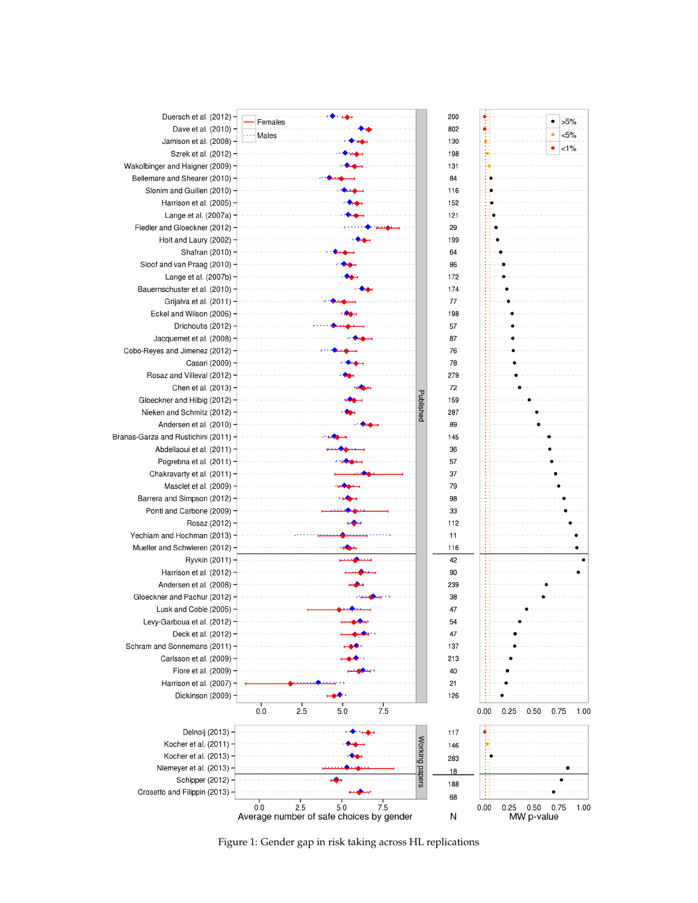

Figure 1: Gender gap in risk taking across HL replications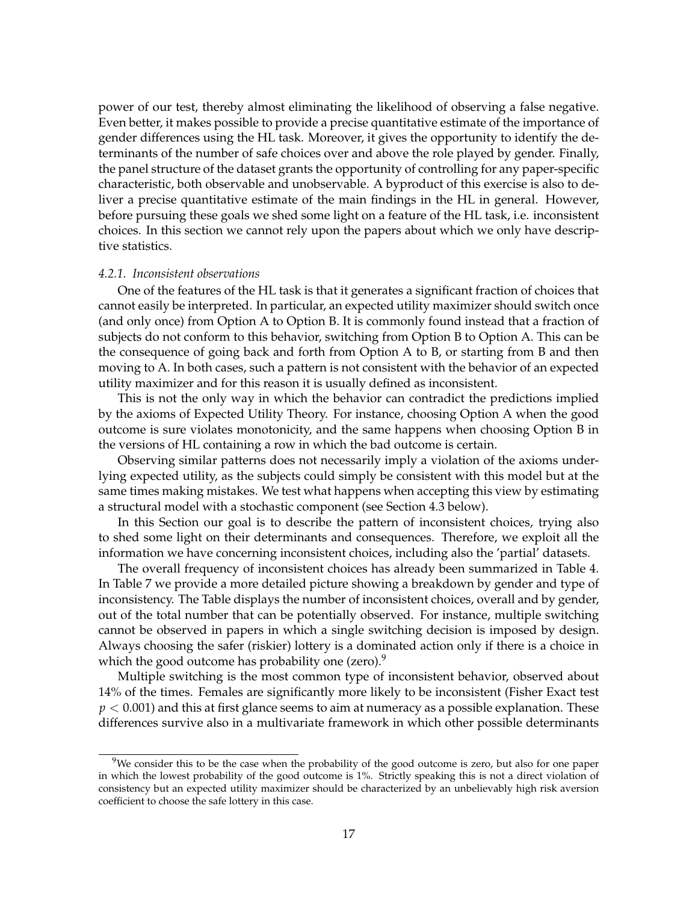power of our test, thereby almost eliminating the likelihood of observing a false negative. Even better, it makes possible to provide a precise quantitative estimate of the importance of gender differences using the HL task. Moreover, it gives the opportunity to identify the determinants of the number of safe choices over and above the role played by gender. Finally, the panel structure of the dataset grants the opportunity of controlling for any paper-specific characteristic, both observable and unobservable. A byproduct of this exercise is also to deliver a precise quantitative estimate of the main findings in the HL in general. However, before pursuing these goals we shed some light on a feature of the HL task, i.e. inconsistent choices. In this section we cannot rely upon the papers about which we only have descriptive statistics.

#### *4.2.1. Inconsistent observations*

One of the features of the HL task is that it generates a significant fraction of choices that cannot easily be interpreted. In particular, an expected utility maximizer should switch once (and only once) from Option A to Option B. It is commonly found instead that a fraction of subjects do not conform to this behavior, switching from Option B to Option A. This can be the consequence of going back and forth from Option A to B, or starting from B and then moving to A. In both cases, such a pattern is not consistent with the behavior of an expected utility maximizer and for this reason it is usually defined as inconsistent.

This is not the only way in which the behavior can contradict the predictions implied by the axioms of Expected Utility Theory. For instance, choosing Option A when the good outcome is sure violates monotonicity, and the same happens when choosing Option B in the versions of HL containing a row in which the bad outcome is certain.

Observing similar patterns does not necessarily imply a violation of the axioms underlying expected utility, as the subjects could simply be consistent with this model but at the same times making mistakes. We test what happens when accepting this view by estimating a structural model with a stochastic component (see Section 4.3 below).

In this Section our goal is to describe the pattern of inconsistent choices, trying also to shed some light on their determinants and consequences. Therefore, we exploit all the information we have concerning inconsistent choices, including also the 'partial' datasets.

The overall frequency of inconsistent choices has already been summarized in Table 4. In Table 7 we provide a more detailed picture showing a breakdown by gender and type of inconsistency. The Table displays the number of inconsistent choices, overall and by gender, out of the total number that can be potentially observed. For instance, multiple switching cannot be observed in papers in which a single switching decision is imposed by design. Always choosing the safer (riskier) lottery is a dominated action only if there is a choice in which the good outcome has probability one (zero).<sup>9</sup>

Multiple switching is the most common type of inconsistent behavior, observed about 14% of the times. Females are significantly more likely to be inconsistent (Fisher Exact test  $p < 0.001$ ) and this at first glance seems to aim at numeracy as a possible explanation. These differences survive also in a multivariate framework in which other possible determinants

<sup>&</sup>lt;sup>9</sup>We consider this to be the case when the probability of the good outcome is zero, but also for one paper in which the lowest probability of the good outcome is 1%. Strictly speaking this is not a direct violation of consistency but an expected utility maximizer should be characterized by an unbelievably high risk aversion coefficient to choose the safe lottery in this case.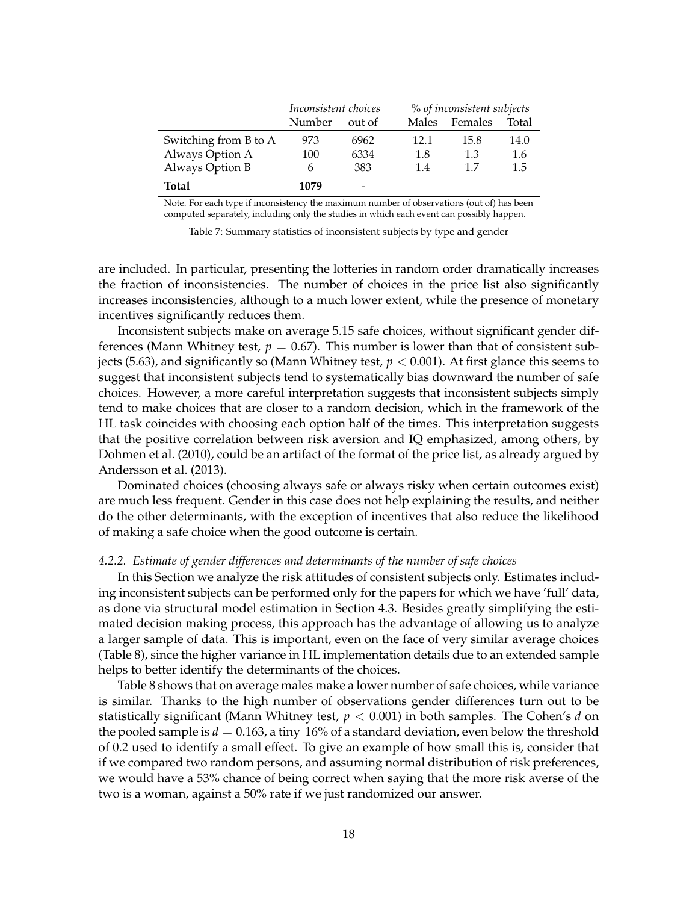|                       | Inconsistent choices |        |       | % of inconsistent subjects |       |  |  |
|-----------------------|----------------------|--------|-------|----------------------------|-------|--|--|
|                       | Number               | out of | Males | Females                    | Total |  |  |
| Switching from B to A | 973                  | 6962   | 12.1  | 15.8                       | 14.0  |  |  |
| Always Option A       | 100                  | 6334   | 1.8   | 1.3                        | 1.6   |  |  |
| Always Option B       | h                    | 383    | 14    | 17                         | 1.5   |  |  |
| Total                 | 1079                 | -      |       |                            |       |  |  |

Note. For each type if inconsistency the maximum number of observations (out of) has been computed separately, including only the studies in which each event can possibly happen.

Table 7: Summary statistics of inconsistent subjects by type and gender

are included. In particular, presenting the lotteries in random order dramatically increases the fraction of inconsistencies. The number of choices in the price list also significantly increases inconsistencies, although to a much lower extent, while the presence of monetary incentives significantly reduces them.

Inconsistent subjects make on average 5.15 safe choices, without significant gender differences (Mann Whitney test,  $p = 0.67$ ). This number is lower than that of consistent subjects (5.63), and significantly so (Mann Whitney test,  $p < 0.001$ ). At first glance this seems to suggest that inconsistent subjects tend to systematically bias downward the number of safe choices. However, a more careful interpretation suggests that inconsistent subjects simply tend to make choices that are closer to a random decision, which in the framework of the HL task coincides with choosing each option half of the times. This interpretation suggests that the positive correlation between risk aversion and IQ emphasized, among others, by Dohmen et al. (2010), could be an artifact of the format of the price list, as already argued by Andersson et al. (2013).

Dominated choices (choosing always safe or always risky when certain outcomes exist) are much less frequent. Gender in this case does not help explaining the results, and neither do the other determinants, with the exception of incentives that also reduce the likelihood of making a safe choice when the good outcome is certain.

#### *4.2.2. Estimate of gender differences and determinants of the number of safe choices*

In this Section we analyze the risk attitudes of consistent subjects only. Estimates including inconsistent subjects can be performed only for the papers for which we have 'full' data, as done via structural model estimation in Section 4.3. Besides greatly simplifying the estimated decision making process, this approach has the advantage of allowing us to analyze a larger sample of data. This is important, even on the face of very similar average choices (Table 8), since the higher variance in HL implementation details due to an extended sample helps to better identify the determinants of the choices.

Table 8 shows that on average males make a lower number of safe choices, while variance is similar. Thanks to the high number of observations gender differences turn out to be statistically significant (Mann Whitney test, *p* < 0.001) in both samples. The Cohen's *d* on the pooled sample is  $d = 0.163$ , a tiny 16% of a standard deviation, even below the threshold of 0.2 used to identify a small effect. To give an example of how small this is, consider that if we compared two random persons, and assuming normal distribution of risk preferences, we would have a 53% chance of being correct when saying that the more risk averse of the two is a woman, against a 50% rate if we just randomized our answer.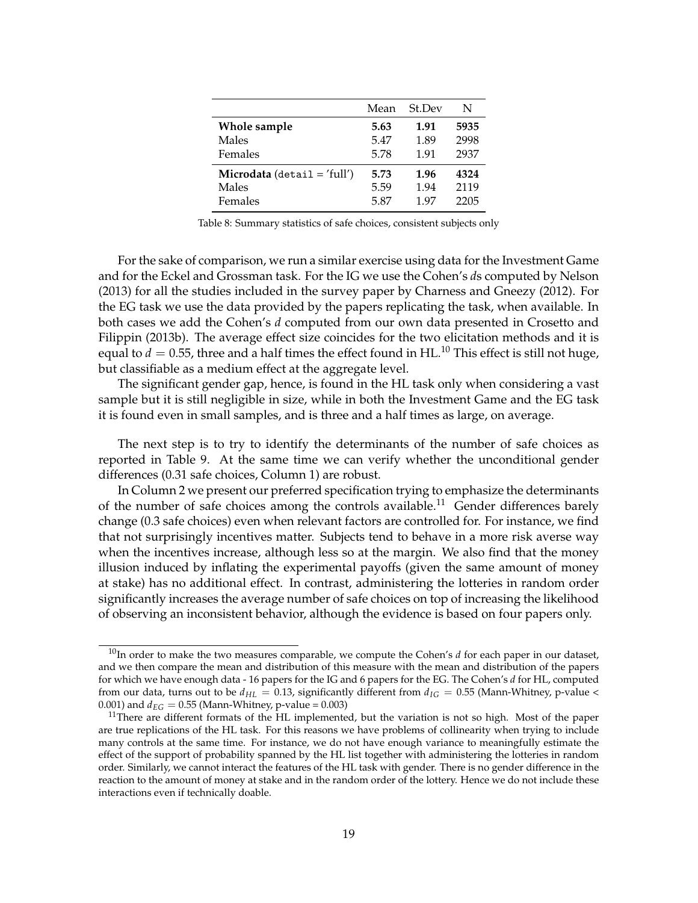|                             | Mean | St.Dev | N    |
|-----------------------------|------|--------|------|
| Whole sample                | 5.63 | 1.91   | 5935 |
| Males                       | 5.47 | 1.89   | 2998 |
| Females                     | 5.78 | 1.91   | 2937 |
| Microdata (detail = 'full') | 5.73 | 1.96   | 4324 |
| Males                       | 5.59 | 1.94   | 2119 |
| Females                     | 5.87 | 197    | 2205 |

Table 8: Summary statistics of safe choices, consistent subjects only

For the sake of comparison, we run a similar exercise using data for the Investment Game and for the Eckel and Grossman task. For the IG we use the Cohen's *d*s computed by Nelson (2013) for all the studies included in the survey paper by Charness and Gneezy (2012). For the EG task we use the data provided by the papers replicating the task, when available. In both cases we add the Cohen's *d* computed from our own data presented in Crosetto and Filippin (2013b). The average effect size coincides for the two elicitation methods and it is equal to  $d = 0.55$ , three and a half times the effect found in HL.<sup>10</sup> This effect is still not huge, but classifiable as a medium effect at the aggregate level.

The significant gender gap, hence, is found in the HL task only when considering a vast sample but it is still negligible in size, while in both the Investment Game and the EG task it is found even in small samples, and is three and a half times as large, on average.

The next step is to try to identify the determinants of the number of safe choices as reported in Table 9. At the same time we can verify whether the unconditional gender differences (0.31 safe choices, Column 1) are robust.

In Column 2 we present our preferred specification trying to emphasize the determinants of the number of safe choices among the controls available.<sup>11</sup> Gender differences barely change (0.3 safe choices) even when relevant factors are controlled for. For instance, we find that not surprisingly incentives matter. Subjects tend to behave in a more risk averse way when the incentives increase, although less so at the margin. We also find that the money illusion induced by inflating the experimental payoffs (given the same amount of money at stake) has no additional effect. In contrast, administering the lotteries in random order significantly increases the average number of safe choices on top of increasing the likelihood of observing an inconsistent behavior, although the evidence is based on four papers only.

<sup>&</sup>lt;sup>10</sup>In order to make the two measures comparable, we compute the Cohen's *d* for each paper in our dataset, and we then compare the mean and distribution of this measure with the mean and distribution of the papers for which we have enough data - 16 papers for the IG and 6 papers for the EG. The Cohen's *d* for HL, computed from our data, turns out to be  $d_{HL} = 0.13$ , significantly different from  $d_{IG} = 0.55$  (Mann-Whitney, p-value < 0.001) and  $d_{EG} = 0.55$  (Mann-Whitney, p-value = 0.003)

 $11$ There are different formats of the HL implemented, but the variation is not so high. Most of the paper are true replications of the HL task. For this reasons we have problems of collinearity when trying to include many controls at the same time. For instance, we do not have enough variance to meaningfully estimate the effect of the support of probability spanned by the HL list together with administering the lotteries in random order. Similarly, we cannot interact the features of the HL task with gender. There is no gender difference in the reaction to the amount of money at stake and in the random order of the lottery. Hence we do not include these interactions even if technically doable.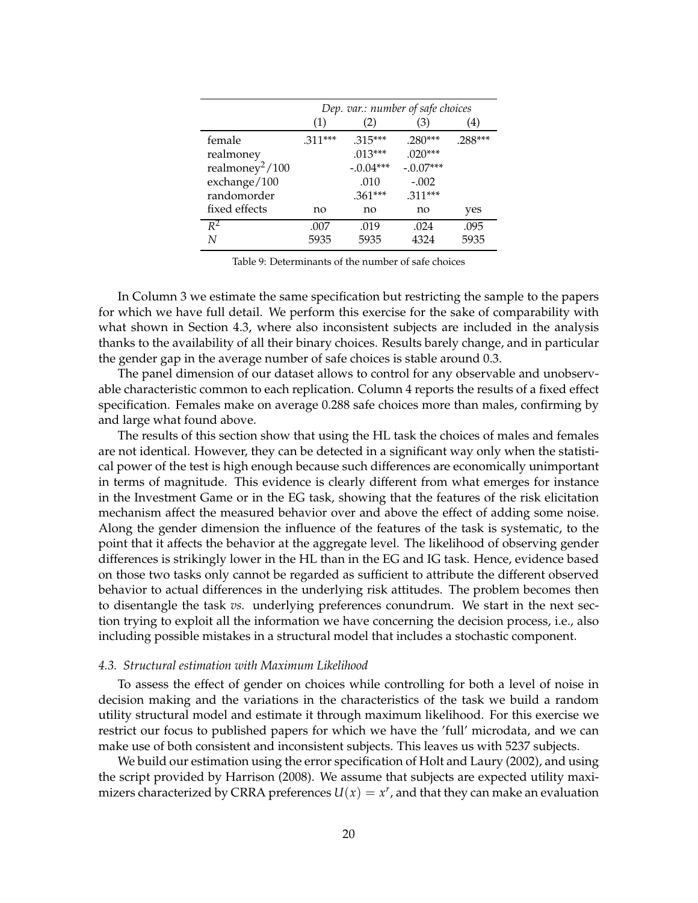|                             | Dep. var.: number of safe choices |             |             |         |  |  |  |
|-----------------------------|-----------------------------------|-------------|-------------|---------|--|--|--|
|                             | (1)                               | (2)         | (3)         | (4)     |  |  |  |
| female                      | $.311***$                         | $.315***$   | $.280***$   | .288*** |  |  |  |
| realmoney                   |                                   | $.013***$   | $.020***$   |         |  |  |  |
| realmoney <sup>2</sup> /100 |                                   | $-.0.04***$ | $-.0.07***$ |         |  |  |  |
| exchange/100                |                                   | .010        | $-.002$     |         |  |  |  |
| randomorder                 |                                   | $.361***$   | $.311***$   |         |  |  |  |
| fixed effects               | no                                | no          | no          | yes     |  |  |  |
| $R^2$                       | .007                              | .019        | .024        | .095    |  |  |  |
| N                           | 5935                              | 5935        | 4324        | 5935    |  |  |  |

Table 9: Determinants of the number of safe choices

In Column 3 we estimate the same specification but restricting the sample to the papers for which we have full detail. We perform this exercise for the sake of comparability with what shown in Section 4.3, where also inconsistent subjects are included in the analysis thanks to the availability of all their binary choices. Results barely change, and in particular the gender gap in the average number of safe choices is stable around 0.3.

The panel dimension of our dataset allows to control for any observable and unobservable characteristic common to each replication. Column 4 reports the results of a fixed effect specification. Females make on average 0.288 safe choices more than males, confirming by and large what found above.

The results of this section show that using the HL task the choices of males and females are not identical. However, they can be detected in a significant way only when the statistical power of the test is high enough because such differences are economically unimportant in terms of magnitude. This evidence is clearly different from what emerges for instance in the Investment Game or in the EG task, showing that the features of the risk elicitation mechanism affect the measured behavior over and above the effect of adding some noise. Along the gender dimension the influence of the features of the task is systematic, to the point that it affects the behavior at the aggregate level. The likelihood of observing gender differences is strikingly lower in the HL than in the EG and IG task. Hence, evidence based on those two tasks only cannot be regarded as sufficient to attribute the different observed behavior to actual differences in the underlying risk attitudes. The problem becomes then to disentangle the task *vs.* underlying preferences conundrum. We start in the next section trying to exploit all the information we have concerning the decision process, i.e., also including possible mistakes in a structural model that includes a stochastic component.

#### *4.3. Structural estimation with Maximum Likelihood*

To assess the effect of gender on choices while controlling for both a level of noise in decision making and the variations in the characteristics of the task we build a random utility structural model and estimate it through maximum likelihood. For this exercise we restrict our focus to published papers for which we have the 'full' microdata, and we can make use of both consistent and inconsistent subjects. This leaves us with 5237 subjects.

We build our estimation using the error specification of Holt and Laury (2002), and using the script provided by Harrison (2008). We assume that subjects are expected utility maximizers characterized by CRRA preferences  $U(x) = x^r$ , and that they can make an evaluation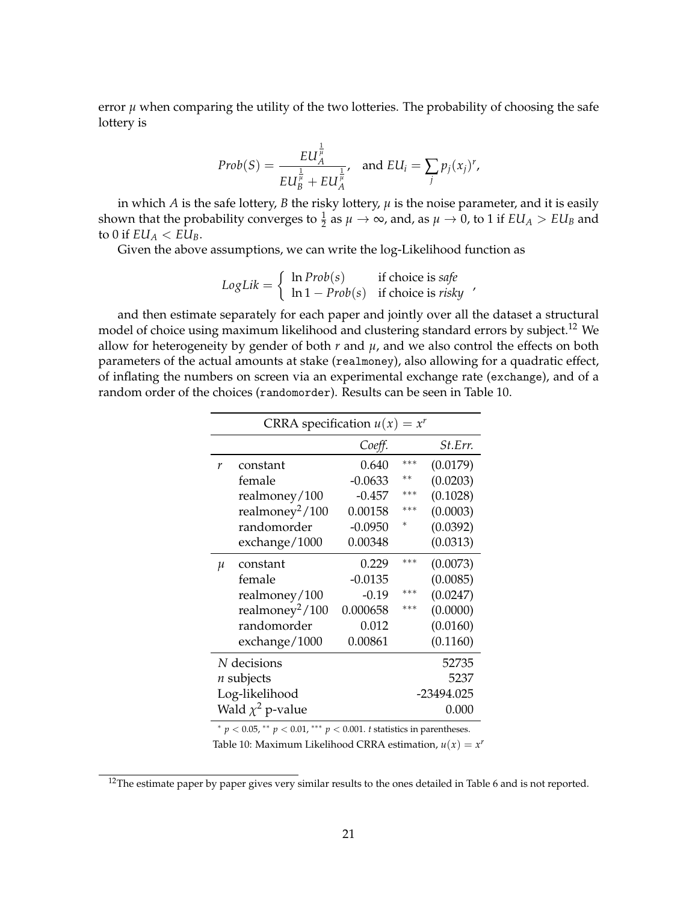error  $\mu$  when comparing the utility of the two lotteries. The probability of choosing the safe lottery is

$$
Prob(S) = \frac{EU_A^{\frac{1}{\mu}}}{EU_B^{\frac{1}{\mu}} + EU_A^{\frac{1}{\mu}}}, \text{ and } EU_i = \sum_j p_j(x_j)^r,
$$

in which  $A$  is the safe lottery,  $B$  the risky lottery,  $\mu$  is the noise parameter, and it is easily shown that the probability converges to  $\frac{1}{2}$  as  $\mu \to \infty$ , and, as  $\mu \to 0$ , to 1 if  $EU_A > EU_B$  and to 0 if  $EU_A < EU_B$ .

Given the above assumptions, we can write the log-Likelihood function as

 $LogLik = \begin{cases} \ln Prob(s) & \text{if choice is safe} \\ \ln 1 - Prob(s) & \text{if choice is risky} \end{cases}$ 

and then estimate separately for each paper and jointly over all the dataset a structural model of choice using maximum likelihood and clustering standard errors by subject.<sup>12</sup> We allow for heterogeneity by gender of both  $r$  and  $\mu$ , and we also control the effects on both parameters of the actual amounts at stake (realmoney), also allowing for a quadratic effect, of inflating the numbers on screen via an experimental exchange rate (exchange), and of a random order of the choices (randomorder). Results can be seen in Table 10.

|       | CRRA specification $u(x) = x^r$ |           |       |                |  |  |  |  |
|-------|---------------------------------|-----------|-------|----------------|--|--|--|--|
|       |                                 | Coeff.    |       | <i>St.Err.</i> |  |  |  |  |
| r     | constant                        | 0.640     | ***   | (0.0179)       |  |  |  |  |
|       | female                          | -0.0633   | $***$ | (0.0203)       |  |  |  |  |
|       | realmoney/100                   | $-0.457$  | ***   | (0.1028)       |  |  |  |  |
|       | realmoney <sup>2</sup> /100     | 0.00158   | ***   | (0.0003)       |  |  |  |  |
|       | randomorder                     | $-0.0950$ | *     | (0.0392)       |  |  |  |  |
|       | exchange/1000                   | 0.00348   |       | (0.0313)       |  |  |  |  |
| $\mu$ | constant                        | 0.229     | ***   | (0.0073)       |  |  |  |  |
|       | female                          | $-0.0135$ |       | (0.0085)       |  |  |  |  |
|       | realmoney/100                   | $-0.19$   | ***   | (0.0247)       |  |  |  |  |
|       | realmoney <sup>2</sup> /100     | 0.000658  | ***   | (0.0000)       |  |  |  |  |
|       | randomorder                     | 0.012     |       | (0.0160)       |  |  |  |  |
|       | exchange/1000                   | 0.00861   |       | (0.1160)       |  |  |  |  |
|       | N decisions                     |           |       | 52735          |  |  |  |  |
|       | $n$ subjects                    |           |       | 5237           |  |  |  |  |
|       | Log-likelihood                  |           |       | -23494.025     |  |  |  |  |
|       | Wald $\chi^2$ p-value           |           |       | 0.000          |  |  |  |  |

<sup>∗</sup> *p* < 0.05, ∗∗ *p* < 0.01, ∗∗∗ *p* < 0.001. *t* statistics in parentheses.

Table 10: Maximum Likelihood CRRA estimation,  $u(x) = x^r$ 

<sup>&</sup>lt;sup>12</sup>The estimate paper by paper gives very similar results to the ones detailed in Table 6 and is not reported.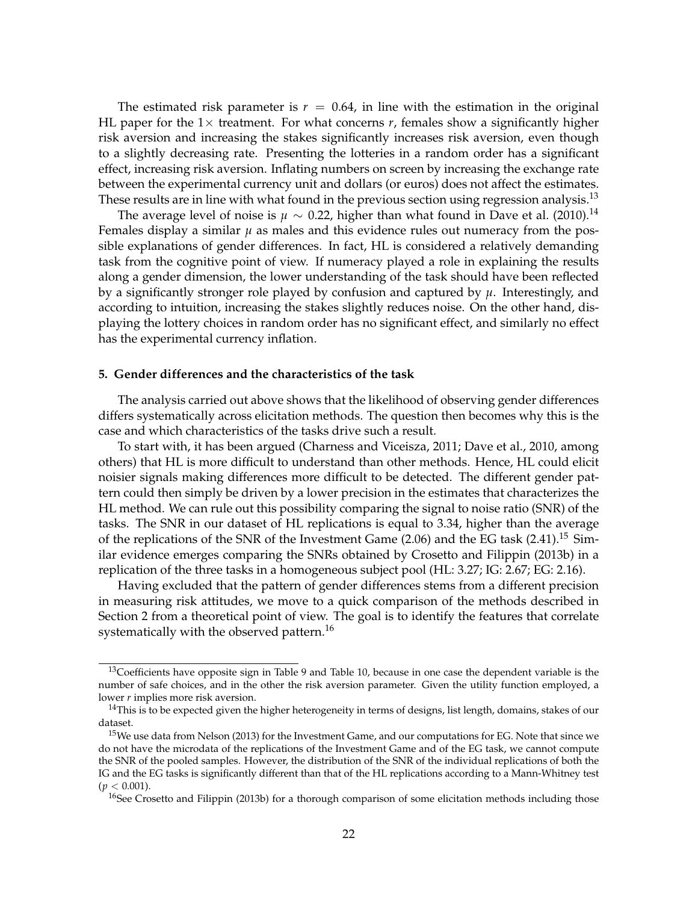The estimated risk parameter is  $r = 0.64$ , in line with the estimation in the original HL paper for the  $1\times$  treatment. For what concerns *r*, females show a significantly higher risk aversion and increasing the stakes significantly increases risk aversion, even though to a slightly decreasing rate. Presenting the lotteries in a random order has a significant effect, increasing risk aversion. Inflating numbers on screen by increasing the exchange rate between the experimental currency unit and dollars (or euros) does not affect the estimates. These results are in line with what found in the previous section using regression analysis.<sup>13</sup>

The average level of noise is  $\mu \sim 0.22$ , higher than what found in Dave et al. (2010).<sup>14</sup> Females display a similar  $\mu$  as males and this evidence rules out numeracy from the possible explanations of gender differences. In fact, HL is considered a relatively demanding task from the cognitive point of view. If numeracy played a role in explaining the results along a gender dimension, the lower understanding of the task should have been reflected by a significantly stronger role played by confusion and captured by *µ*. Interestingly, and according to intuition, increasing the stakes slightly reduces noise. On the other hand, displaying the lottery choices in random order has no significant effect, and similarly no effect has the experimental currency inflation.

#### **5. Gender differences and the characteristics of the task**

The analysis carried out above shows that the likelihood of observing gender differences differs systematically across elicitation methods. The question then becomes why this is the case and which characteristics of the tasks drive such a result.

To start with, it has been argued (Charness and Viceisza, 2011; Dave et al., 2010, among others) that HL is more difficult to understand than other methods. Hence, HL could elicit noisier signals making differences more difficult to be detected. The different gender pattern could then simply be driven by a lower precision in the estimates that characterizes the HL method. We can rule out this possibility comparing the signal to noise ratio (SNR) of the tasks. The SNR in our dataset of HL replications is equal to 3.34, higher than the average of the replications of the SNR of the Investment Game  $(2.06)$  and the EG task  $(2.41).$ <sup>15</sup> Similar evidence emerges comparing the SNRs obtained by Crosetto and Filippin (2013b) in a replication of the three tasks in a homogeneous subject pool (HL: 3.27; IG: 2.67; EG: 2.16).

Having excluded that the pattern of gender differences stems from a different precision in measuring risk attitudes, we move to a quick comparison of the methods described in Section 2 from a theoretical point of view. The goal is to identify the features that correlate systematically with the observed pattern.<sup>16</sup>

<sup>&</sup>lt;sup>13</sup>Coefficients have opposite sign in Table 9 and Table 10, because in one case the dependent variable is the number of safe choices, and in the other the risk aversion parameter. Given the utility function employed, a lower *r* implies more risk aversion.

 $14$ This is to be expected given the higher heterogeneity in terms of designs, list length, domains, stakes of our dataset.

<sup>&</sup>lt;sup>15</sup>We use data from Nelson (2013) for the Investment Game, and our computations for EG. Note that since we do not have the microdata of the replications of the Investment Game and of the EG task, we cannot compute the SNR of the pooled samples. However, the distribution of the SNR of the individual replications of both the IG and the EG tasks is significantly different than that of the HL replications according to a Mann-Whitney test (*p* < 0.001).

<sup>&</sup>lt;sup>16</sup>See Crosetto and Filippin (2013b) for a thorough comparison of some elicitation methods including those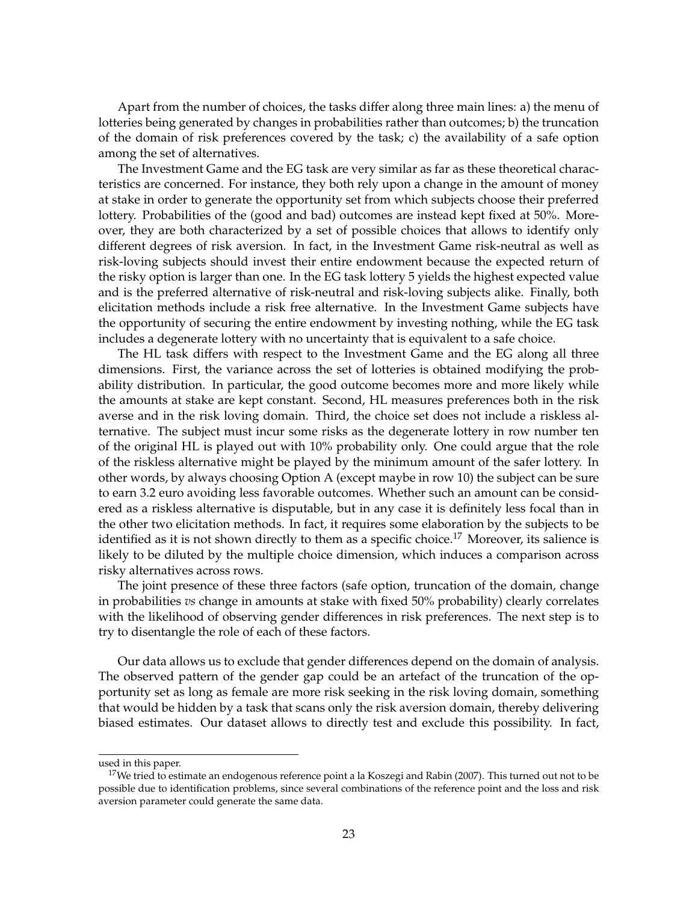Apart from the number of choices, the tasks differ along three main lines: a) the menu of lotteries being generated by changes in probabilities rather than outcomes; b) the truncation of the domain of risk preferences covered by the task; c) the availability of a safe option among the set of alternatives.

The Investment Game and the EG task are very similar as far as these theoretical characteristics are concerned. For instance, they both rely upon a change in the amount of money at stake in order to generate the opportunity set from which subjects choose their preferred lottery. Probabilities of the (good and bad) outcomes are instead kept fixed at 50%. Moreover, they are both characterized by a set of possible choices that allows to identify only different degrees of risk aversion. In fact, in the Investment Game risk-neutral as well as risk-loving subjects should invest their entire endowment because the expected return of the risky option is larger than one. In the EG task lottery 5 yields the highest expected value and is the preferred alternative of risk-neutral and risk-loving subjects alike. Finally, both elicitation methods include a risk free alternative. In the Investment Game subjects have the opportunity of securing the entire endowment by investing nothing, while the EG task includes a degenerate lottery with no uncertainty that is equivalent to a safe choice.

The HL task differs with respect to the Investment Game and the EG along all three dimensions. First, the variance across the set of lotteries is obtained modifying the probability distribution. In particular, the good outcome becomes more and more likely while the amounts at stake are kept constant. Second, HL measures preferences both in the risk averse and in the risk loving domain. Third, the choice set does not include a riskless alternative. The subject must incur some risks as the degenerate lottery in row number ten of the original HL is played out with 10% probability only. One could argue that the role of the riskless alternative might be played by the minimum amount of the safer lottery. In other words, by always choosing Option A (except maybe in row 10) the subject can be sure to earn 3.2 euro avoiding less favorable outcomes. Whether such an amount can be considered as a riskless alternative is disputable, but in any case it is definitely less focal than in the other two elicitation methods. In fact, it requires some elaboration by the subjects to be identified as it is not shown directly to them as a specific choice.<sup>17</sup> Moreover, its salience is likely to be diluted by the multiple choice dimension, which induces a comparison across risky alternatives across rows.

The joint presence of these three factors (safe option, truncation of the domain, change in probabilities *vs* change in amounts at stake with fixed 50% probability) clearly correlates with the likelihood of observing gender differences in risk preferences. The next step is to try to disentangle the role of each of these factors.

Our data allows us to exclude that gender differences depend on the domain of analysis. The observed pattern of the gender gap could be an artefact of the truncation of the opportunity set as long as female are more risk seeking in the risk loving domain, something that would be hidden by a task that scans only the risk aversion domain, thereby delivering biased estimates. Our dataset allows to directly test and exclude this possibility. In fact,

used in this paper.

<sup>&</sup>lt;sup>17</sup>We tried to estimate an endogenous reference point a la Koszegi and Rabin (2007). This turned out not to be possible due to identification problems, since several combinations of the reference point and the loss and risk aversion parameter could generate the same data.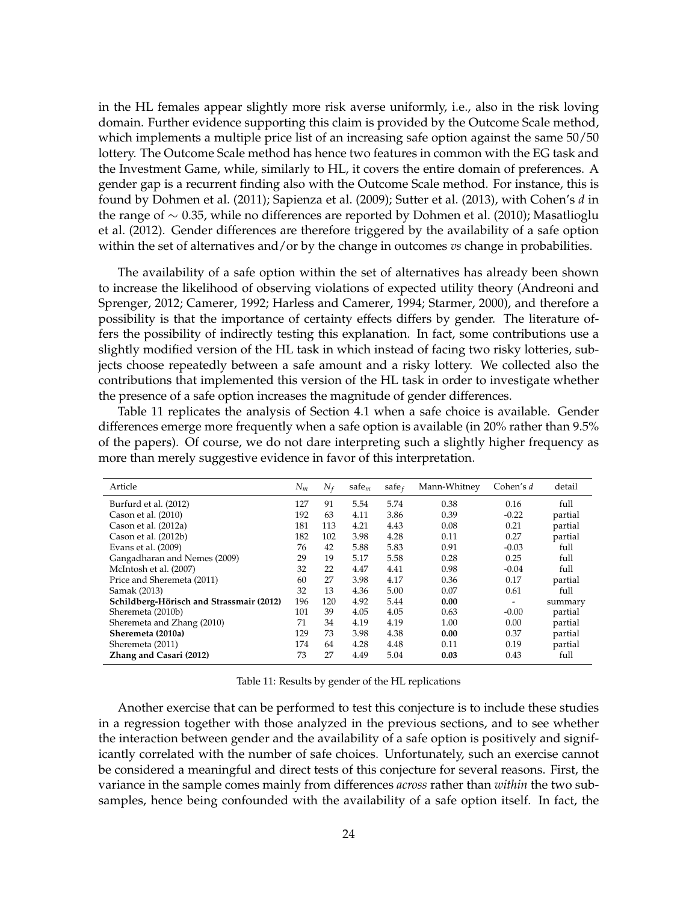in the HL females appear slightly more risk averse uniformly, i.e., also in the risk loving domain. Further evidence supporting this claim is provided by the Outcome Scale method, which implements a multiple price list of an increasing safe option against the same 50/50 lottery. The Outcome Scale method has hence two features in common with the EG task and the Investment Game, while, similarly to HL, it covers the entire domain of preferences. A gender gap is a recurrent finding also with the Outcome Scale method. For instance, this is found by Dohmen et al. (2011); Sapienza et al. (2009); Sutter et al. (2013), with Cohen's *d* in the range of ∼ 0.35, while no differences are reported by Dohmen et al. (2010); Masatlioglu et al. (2012). Gender differences are therefore triggered by the availability of a safe option within the set of alternatives and/or by the change in outcomes *vs* change in probabilities.

The availability of a safe option within the set of alternatives has already been shown to increase the likelihood of observing violations of expected utility theory (Andreoni and Sprenger, 2012; Camerer, 1992; Harless and Camerer, 1994; Starmer, 2000), and therefore a possibility is that the importance of certainty effects differs by gender. The literature offers the possibility of indirectly testing this explanation. In fact, some contributions use a slightly modified version of the HL task in which instead of facing two risky lotteries, subjects choose repeatedly between a safe amount and a risky lottery. We collected also the contributions that implemented this version of the HL task in order to investigate whether the presence of a safe option increases the magnitude of gender differences.

Table 11 replicates the analysis of Section 4.1 when a safe choice is available. Gender differences emerge more frequently when a safe option is available (in 20% rather than 9.5% of the papers). Of course, we do not dare interpreting such a slightly higher frequency as more than merely suggestive evidence in favor of this interpretation.

| Article                                  | $N_m$ | $N_f$ | safe $_m$ | safe $\epsilon$ | Mann-Whitney | Cohen's d | detail  |
|------------------------------------------|-------|-------|-----------|-----------------|--------------|-----------|---------|
| Burfurd et al. (2012)                    | 127   | 91    | 5.54      | 5.74            | 0.38         | 0.16      | full    |
| Cason et al. (2010)                      | 192   | 63    | 4.11      | 3.86            | 0.39         | $-0.22$   | partial |
| Cason et al. (2012a)                     | 181   | 113   | 4.21      | 4.43            | 0.08         | 0.21      | partial |
| Cason et al. (2012b)                     | 182   | 102   | 3.98      | 4.28            | 0.11         | 0.27      | partial |
| Evans et al. (2009)                      | 76    | 42    | 5.88      | 5.83            | 0.91         | $-0.03$   | full    |
| Gangadharan and Nemes (2009)             | 29    | 19    | 5.17      | 5.58            | 0.28         | 0.25      | full    |
| McIntosh et al. (2007)                   | 32    | 22    | 4.47      | 4.41            | 0.98         | $-0.04$   | full    |
| Price and Sheremeta (2011)               | 60    | 27    | 3.98      | 4.17            | 0.36         | 0.17      | partial |
| Samak (2013)                             | 32    | 13    | 4.36      | 5.00            | 0.07         | 0.61      | full    |
| Schildberg-Hörisch and Strassmair (2012) | 196   | 120   | 4.92      | 5.44            | 0.00         |           | summary |
| Sheremeta (2010b)                        | 101   | 39    | 4.05      | 4.05            | 0.63         | $-0.00$   | partial |
| Sheremeta and Zhang (2010)               | 71    | 34    | 4.19      | 4.19            | 1.00         | 0.00      | partial |
| Sheremeta (2010a)                        | 129   | 73    | 3.98      | 4.38            | 0.00         | 0.37      | partial |
| Sheremeta (2011)                         | 174   | 64    | 4.28      | 4.48            | 0.11         | 0.19      | partial |
| Zhang and Casari (2012)                  | 73    | 27    | 4.49      | 5.04            | 0.03         | 0.43      | full    |

Table 11: Results by gender of the HL replications

Another exercise that can be performed to test this conjecture is to include these studies in a regression together with those analyzed in the previous sections, and to see whether the interaction between gender and the availability of a safe option is positively and significantly correlated with the number of safe choices. Unfortunately, such an exercise cannot be considered a meaningful and direct tests of this conjecture for several reasons. First, the variance in the sample comes mainly from differences *across* rather than *within* the two subsamples, hence being confounded with the availability of a safe option itself. In fact, the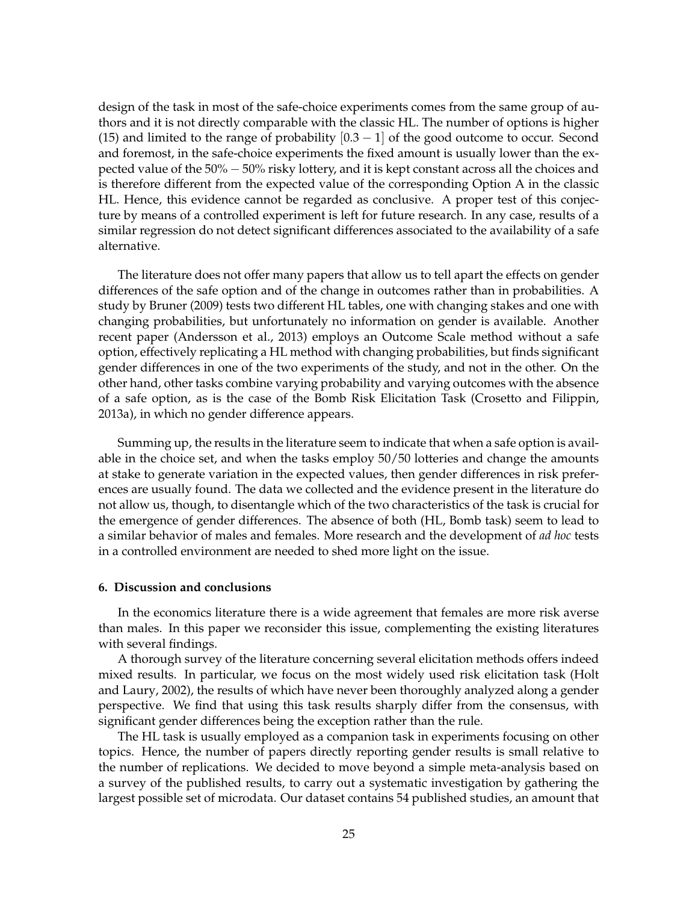design of the task in most of the safe-choice experiments comes from the same group of authors and it is not directly comparable with the classic HL. The number of options is higher (15) and limited to the range of probability  $[0.3 - 1]$  of the good outcome to occur. Second and foremost, in the safe-choice experiments the fixed amount is usually lower than the expected value of the 50% − 50% risky lottery, and it is kept constant across all the choices and is therefore different from the expected value of the corresponding Option A in the classic HL. Hence, this evidence cannot be regarded as conclusive. A proper test of this conjecture by means of a controlled experiment is left for future research. In any case, results of a similar regression do not detect significant differences associated to the availability of a safe alternative.

The literature does not offer many papers that allow us to tell apart the effects on gender differences of the safe option and of the change in outcomes rather than in probabilities. A study by Bruner (2009) tests two different HL tables, one with changing stakes and one with changing probabilities, but unfortunately no information on gender is available. Another recent paper (Andersson et al., 2013) employs an Outcome Scale method without a safe option, effectively replicating a HL method with changing probabilities, but finds significant gender differences in one of the two experiments of the study, and not in the other. On the other hand, other tasks combine varying probability and varying outcomes with the absence of a safe option, as is the case of the Bomb Risk Elicitation Task (Crosetto and Filippin, 2013a), in which no gender difference appears.

Summing up, the results in the literature seem to indicate that when a safe option is available in the choice set, and when the tasks employ 50/50 lotteries and change the amounts at stake to generate variation in the expected values, then gender differences in risk preferences are usually found. The data we collected and the evidence present in the literature do not allow us, though, to disentangle which of the two characteristics of the task is crucial for the emergence of gender differences. The absence of both (HL, Bomb task) seem to lead to a similar behavior of males and females. More research and the development of *ad hoc* tests in a controlled environment are needed to shed more light on the issue.

#### **6. Discussion and conclusions**

In the economics literature there is a wide agreement that females are more risk averse than males. In this paper we reconsider this issue, complementing the existing literatures with several findings.

A thorough survey of the literature concerning several elicitation methods offers indeed mixed results. In particular, we focus on the most widely used risk elicitation task (Holt and Laury, 2002), the results of which have never been thoroughly analyzed along a gender perspective. We find that using this task results sharply differ from the consensus, with significant gender differences being the exception rather than the rule.

The HL task is usually employed as a companion task in experiments focusing on other topics. Hence, the number of papers directly reporting gender results is small relative to the number of replications. We decided to move beyond a simple meta-analysis based on a survey of the published results, to carry out a systematic investigation by gathering the largest possible set of microdata. Our dataset contains 54 published studies, an amount that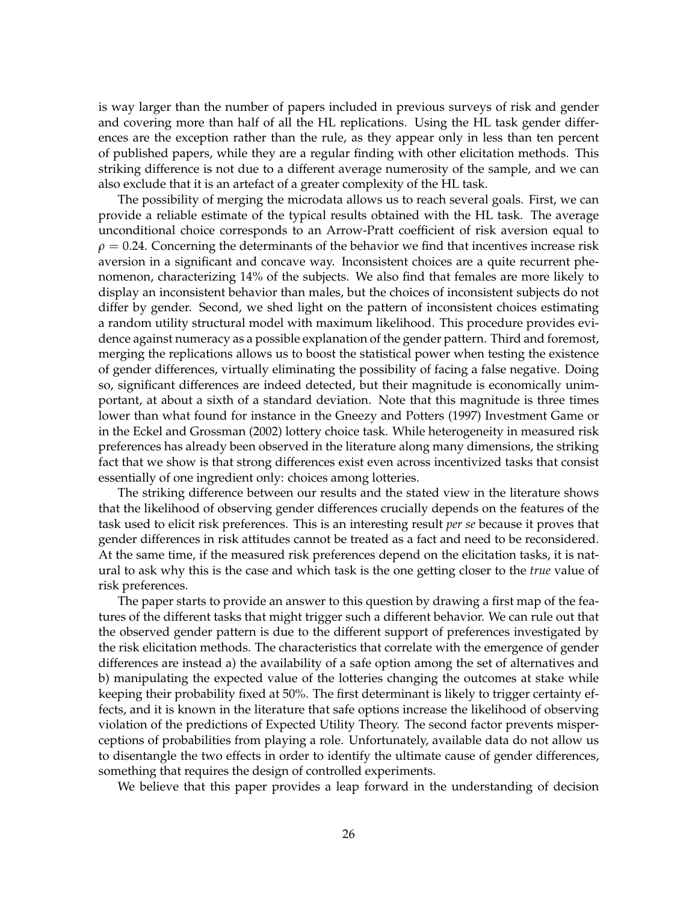is way larger than the number of papers included in previous surveys of risk and gender and covering more than half of all the HL replications. Using the HL task gender differences are the exception rather than the rule, as they appear only in less than ten percent of published papers, while they are a regular finding with other elicitation methods. This striking difference is not due to a different average numerosity of the sample, and we can also exclude that it is an artefact of a greater complexity of the HL task.

The possibility of merging the microdata allows us to reach several goals. First, we can provide a reliable estimate of the typical results obtained with the HL task. The average unconditional choice corresponds to an Arrow-Pratt coefficient of risk aversion equal to  $\rho = 0.24$ . Concerning the determinants of the behavior we find that incentives increase risk aversion in a significant and concave way. Inconsistent choices are a quite recurrent phenomenon, characterizing 14% of the subjects. We also find that females are more likely to display an inconsistent behavior than males, but the choices of inconsistent subjects do not differ by gender. Second, we shed light on the pattern of inconsistent choices estimating a random utility structural model with maximum likelihood. This procedure provides evidence against numeracy as a possible explanation of the gender pattern. Third and foremost, merging the replications allows us to boost the statistical power when testing the existence of gender differences, virtually eliminating the possibility of facing a false negative. Doing so, significant differences are indeed detected, but their magnitude is economically unimportant, at about a sixth of a standard deviation. Note that this magnitude is three times lower than what found for instance in the Gneezy and Potters (1997) Investment Game or in the Eckel and Grossman (2002) lottery choice task. While heterogeneity in measured risk preferences has already been observed in the literature along many dimensions, the striking fact that we show is that strong differences exist even across incentivized tasks that consist essentially of one ingredient only: choices among lotteries.

The striking difference between our results and the stated view in the literature shows that the likelihood of observing gender differences crucially depends on the features of the task used to elicit risk preferences. This is an interesting result *per se* because it proves that gender differences in risk attitudes cannot be treated as a fact and need to be reconsidered. At the same time, if the measured risk preferences depend on the elicitation tasks, it is natural to ask why this is the case and which task is the one getting closer to the *true* value of risk preferences.

The paper starts to provide an answer to this question by drawing a first map of the features of the different tasks that might trigger such a different behavior. We can rule out that the observed gender pattern is due to the different support of preferences investigated by the risk elicitation methods. The characteristics that correlate with the emergence of gender differences are instead a) the availability of a safe option among the set of alternatives and b) manipulating the expected value of the lotteries changing the outcomes at stake while keeping their probability fixed at 50%. The first determinant is likely to trigger certainty effects, and it is known in the literature that safe options increase the likelihood of observing violation of the predictions of Expected Utility Theory. The second factor prevents misperceptions of probabilities from playing a role. Unfortunately, available data do not allow us to disentangle the two effects in order to identify the ultimate cause of gender differences, something that requires the design of controlled experiments.

We believe that this paper provides a leap forward in the understanding of decision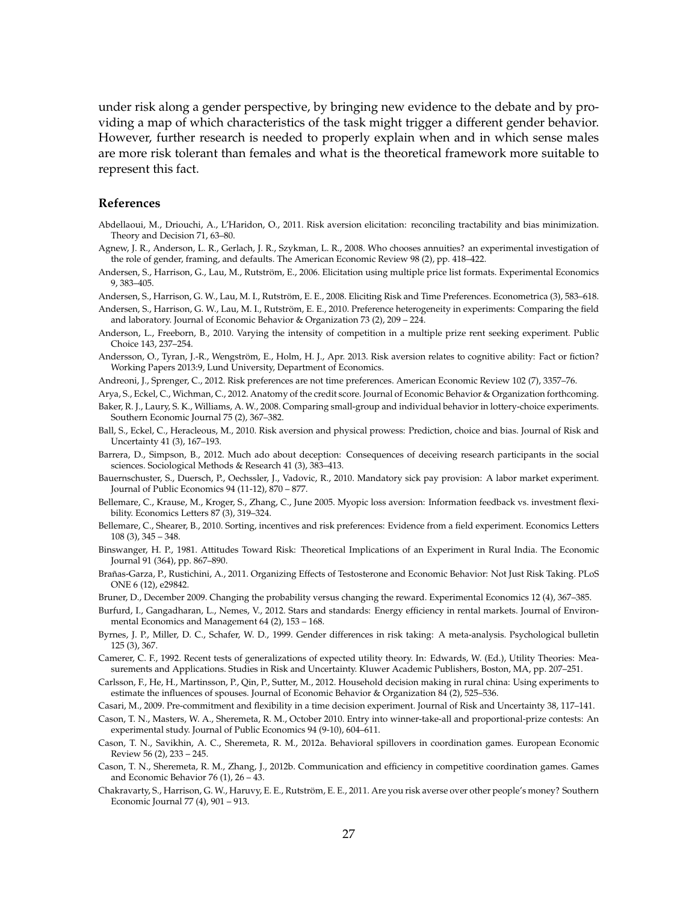under risk along a gender perspective, by bringing new evidence to the debate and by providing a map of which characteristics of the task might trigger a different gender behavior. However, further research is needed to properly explain when and in which sense males are more risk tolerant than females and what is the theoretical framework more suitable to represent this fact.

#### **References**

- Abdellaoui, M., Driouchi, A., L'Haridon, O., 2011. Risk aversion elicitation: reconciling tractability and bias minimization. Theory and Decision 71, 63–80.
- Agnew, J. R., Anderson, L. R., Gerlach, J. R., Szykman, L. R., 2008. Who chooses annuities? an experimental investigation of the role of gender, framing, and defaults. The American Economic Review 98 (2), pp. 418–422.
- Andersen, S., Harrison, G., Lau, M., Rutström, E., 2006. Elicitation using multiple price list formats. Experimental Economics 9, 383–405.

Andersen, S., Harrison, G. W., Lau, M. I., Rutström, E. E., 2008. Eliciting Risk and Time Preferences. Econometrica (3), 583–618.

Andersen, S., Harrison, G. W., Lau, M. I., Rutström, E. E., 2010. Preference heterogeneity in experiments: Comparing the field and laboratory. Journal of Economic Behavior & Organization 73 (2), 209 – 224.

Anderson, L., Freeborn, B., 2010. Varying the intensity of competition in a multiple prize rent seeking experiment. Public Choice 143, 237–254.

Andersson, O., Tyran, J.-R., Wengström, E., Holm, H. J., Apr. 2013. Risk aversion relates to cognitive ability: Fact or fiction? Working Papers 2013:9, Lund University, Department of Economics.

Andreoni, J., Sprenger, C., 2012. Risk preferences are not time preferences. American Economic Review 102 (7), 3357–76.

Arya, S., Eckel, C., Wichman, C., 2012. Anatomy of the credit score. Journal of Economic Behavior & Organization forthcoming.

- Baker, R. J., Laury, S. K., Williams, A. W., 2008. Comparing small-group and individual behavior in lottery-choice experiments. Southern Economic Journal 75 (2), 367–382.
- Ball, S., Eckel, C., Heracleous, M., 2010. Risk aversion and physical prowess: Prediction, choice and bias. Journal of Risk and Uncertainty 41 (3), 167–193.
- Barrera, D., Simpson, B., 2012. Much ado about deception: Consequences of deceiving research participants in the social sciences. Sociological Methods & Research 41 (3), 383–413.
- Bauernschuster, S., Duersch, P., Oechssler, J., Vadovic, R., 2010. Mandatory sick pay provision: A labor market experiment. Journal of Public Economics 94 (11-12), 870 – 877.
- Bellemare, C., Krause, M., Kroger, S., Zhang, C., June 2005. Myopic loss aversion: Information feedback vs. investment flexibility. Economics Letters 87 (3), 319–324.
- Bellemare, C., Shearer, B., 2010. Sorting, incentives and risk preferences: Evidence from a field experiment. Economics Letters 108 (3), 345 – 348.
- Binswanger, H. P., 1981. Attitudes Toward Risk: Theoretical Implications of an Experiment in Rural India. The Economic Journal 91 (364), pp. 867–890.
- Brañas-Garza, P., Rustichini, A., 2011. Organizing Effects of Testosterone and Economic Behavior: Not Just Risk Taking. PLoS ONE 6 (12), e29842.
- Bruner, D., December 2009. Changing the probability versus changing the reward. Experimental Economics 12 (4), 367–385.
- Burfurd, I., Gangadharan, L., Nemes, V., 2012. Stars and standards: Energy efficiency in rental markets. Journal of Environmental Economics and Management 64 (2), 153 – 168.
- Byrnes, J. P., Miller, D. C., Schafer, W. D., 1999. Gender differences in risk taking: A meta-analysis. Psychological bulletin 125 (3), 367.
- Camerer, C. F., 1992. Recent tests of generalizations of expected utility theory. In: Edwards, W. (Ed.), Utility Theories: Measurements and Applications. Studies in Risk and Uncertainty. Kluwer Academic Publishers, Boston, MA, pp. 207–251.
- Carlsson, F., He, H., Martinsson, P., Qin, P., Sutter, M., 2012. Household decision making in rural china: Using experiments to estimate the influences of spouses. Journal of Economic Behavior & Organization 84 (2), 525–536.
- Casari, M., 2009. Pre-commitment and flexibility in a time decision experiment. Journal of Risk and Uncertainty 38, 117–141.
- Cason, T. N., Masters, W. A., Sheremeta, R. M., October 2010. Entry into winner-take-all and proportional-prize contests: An experimental study. Journal of Public Economics 94 (9-10), 604–611.
- Cason, T. N., Savikhin, A. C., Sheremeta, R. M., 2012a. Behavioral spillovers in coordination games. European Economic Review 56 (2), 233 – 245.
- Cason, T. N., Sheremeta, R. M., Zhang, J., 2012b. Communication and efficiency in competitive coordination games. Games and Economic Behavior 76 (1), 26 – 43.
- Chakravarty, S., Harrison, G. W., Haruvy, E. E., Rutström, E. E., 2011. Are you risk averse over other people's money? Southern Economic Journal 77 (4), 901 – 913.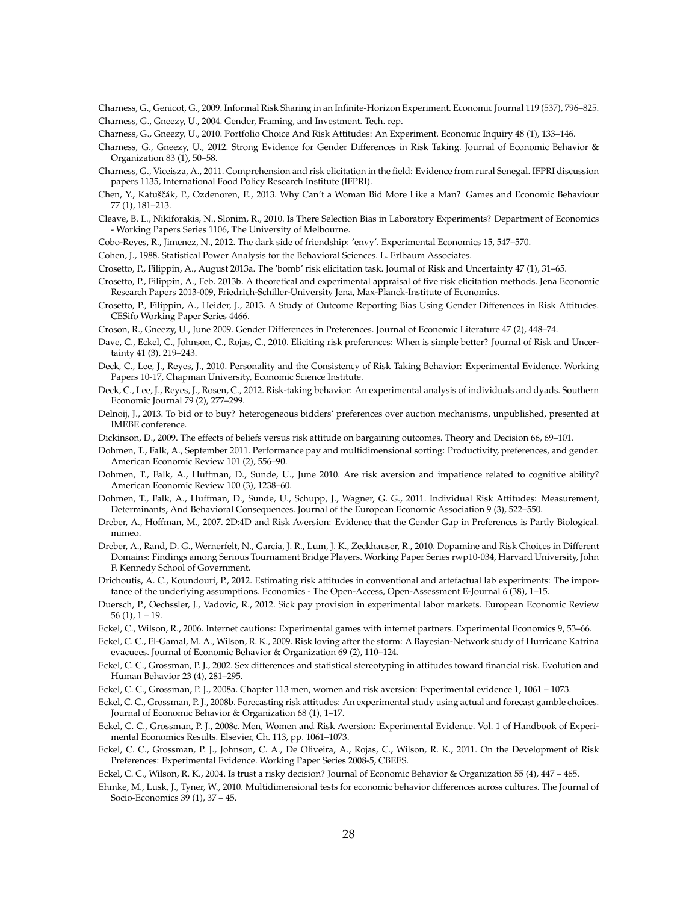Charness, G., Genicot, G., 2009. Informal Risk Sharing in an Infinite-Horizon Experiment. Economic Journal 119 (537), 796–825. Charness, G., Gneezy, U., 2004. Gender, Framing, and Investment. Tech. rep.

- Charness, G., Gneezy, U., 2010. Portfolio Choice And Risk Attitudes: An Experiment. Economic Inquiry 48 (1), 133–146.
- Charness, G., Gneezy, U., 2012. Strong Evidence for Gender Differences in Risk Taking. Journal of Economic Behavior & Organization 83 (1), 50–58.
- Charness, G., Viceisza, A., 2011. Comprehension and risk elicitation in the field: Evidence from rural Senegal. IFPRI discussion papers 1135, International Food Policy Research Institute (IFPRI).
- Chen, Y., Katuščák, P., Ozdenoren, E., 2013. Why Can't a Woman Bid More Like a Man? Games and Economic Behaviour 77 (1), 181–213.
- Cleave, B. L., Nikiforakis, N., Slonim, R., 2010. Is There Selection Bias in Laboratory Experiments? Department of Economics - Working Papers Series 1106, The University of Melbourne.
- Cobo-Reyes, R., Jimenez, N., 2012. The dark side of friendship: 'envy'. Experimental Economics 15, 547–570.

Cohen, J., 1988. Statistical Power Analysis for the Behavioral Sciences. L. Erlbaum Associates.

- Crosetto, P., Filippin, A., August 2013a. The 'bomb' risk elicitation task. Journal of Risk and Uncertainty 47 (1), 31–65.
- Crosetto, P., Filippin, A., Feb. 2013b. A theoretical and experimental appraisal of five risk elicitation methods. Jena Economic Research Papers 2013-009, Friedrich-Schiller-University Jena, Max-Planck-Institute of Economics.
- Crosetto, P., Filippin, A., Heider, J., 2013. A Study of Outcome Reporting Bias Using Gender Differences in Risk Attitudes. CESifo Working Paper Series 4466.
- Croson, R., Gneezy, U., June 2009. Gender Differences in Preferences. Journal of Economic Literature 47 (2), 448–74.
- Dave, C., Eckel, C., Johnson, C., Rojas, C., 2010. Eliciting risk preferences: When is simple better? Journal of Risk and Uncertainty 41 (3), 219–243.
- Deck, C., Lee, J., Reyes, J., 2010. Personality and the Consistency of Risk Taking Behavior: Experimental Evidence. Working Papers 10-17, Chapman University, Economic Science Institute.
- Deck, C., Lee, J., Reyes, J., Rosen, C., 2012. Risk-taking behavior: An experimental analysis of individuals and dyads. Southern Economic Journal 79 (2), 277–299.
- Delnoij, J., 2013. To bid or to buy? heterogeneous bidders' preferences over auction mechanisms, unpublished, presented at IMEBE conference.
- Dickinson, D., 2009. The effects of beliefs versus risk attitude on bargaining outcomes. Theory and Decision 66, 69–101.
- Dohmen, T., Falk, A., September 2011. Performance pay and multidimensional sorting: Productivity, preferences, and gender. American Economic Review 101 (2), 556–90.
- Dohmen, T., Falk, A., Huffman, D., Sunde, U., June 2010. Are risk aversion and impatience related to cognitive ability? American Economic Review 100 (3), 1238–60.
- Dohmen, T., Falk, A., Huffman, D., Sunde, U., Schupp, J., Wagner, G. G., 2011. Individual Risk Attitudes: Measurement, Determinants, And Behavioral Consequences. Journal of the European Economic Association 9 (3), 522–550.
- Dreber, A., Hoffman, M., 2007. 2D:4D and Risk Aversion: Evidence that the Gender Gap in Preferences is Partly Biological. mimeo.
- Dreber, A., Rand, D. G., Wernerfelt, N., Garcia, J. R., Lum, J. K., Zeckhauser, R., 2010. Dopamine and Risk Choices in Different Domains: Findings among Serious Tournament Bridge Players. Working Paper Series rwp10-034, Harvard University, John F. Kennedy School of Government.
- Drichoutis, A. C., Koundouri, P., 2012. Estimating risk attitudes in conventional and artefactual lab experiments: The importance of the underlying assumptions. Economics - The Open-Access, Open-Assessment E-Journal 6 (38), 1–15.
- Duersch, P., Oechssler, J., Vadovic, R., 2012. Sick pay provision in experimental labor markets. European Economic Review  $56(1)$ ,  $1 - 19$ .
- Eckel, C., Wilson, R., 2006. Internet cautions: Experimental games with internet partners. Experimental Economics 9, 53–66.
- Eckel, C. C., El-Gamal, M. A., Wilson, R. K., 2009. Risk loving after the storm: A Bayesian-Network study of Hurricane Katrina evacuees. Journal of Economic Behavior & Organization 69 (2), 110–124.
- Eckel, C. C., Grossman, P. J., 2002. Sex differences and statistical stereotyping in attitudes toward financial risk. Evolution and Human Behavior 23 (4), 281–295.
- Eckel, C. C., Grossman, P. J., 2008a. Chapter 113 men, women and risk aversion: Experimental evidence 1, 1061 1073.
- Eckel, C. C., Grossman, P. J., 2008b. Forecasting risk attitudes: An experimental study using actual and forecast gamble choices. Journal of Economic Behavior & Organization 68 (1), 1–17.
- Eckel, C. C., Grossman, P. J., 2008c. Men, Women and Risk Aversion: Experimental Evidence. Vol. 1 of Handbook of Experimental Economics Results. Elsevier, Ch. 113, pp. 1061–1073.
- Eckel, C. C., Grossman, P. J., Johnson, C. A., De Oliveira, A., Rojas, C., Wilson, R. K., 2011. On the Development of Risk Preferences: Experimental Evidence. Working Paper Series 2008-5, CBEES.
- Eckel, C. C., Wilson, R. K., 2004. Is trust a risky decision? Journal of Economic Behavior & Organization 55 (4), 447 465.
- Ehmke, M., Lusk, J., Tyner, W., 2010. Multidimensional tests for economic behavior differences across cultures. The Journal of Socio-Economics 39 (1), 37 – 45.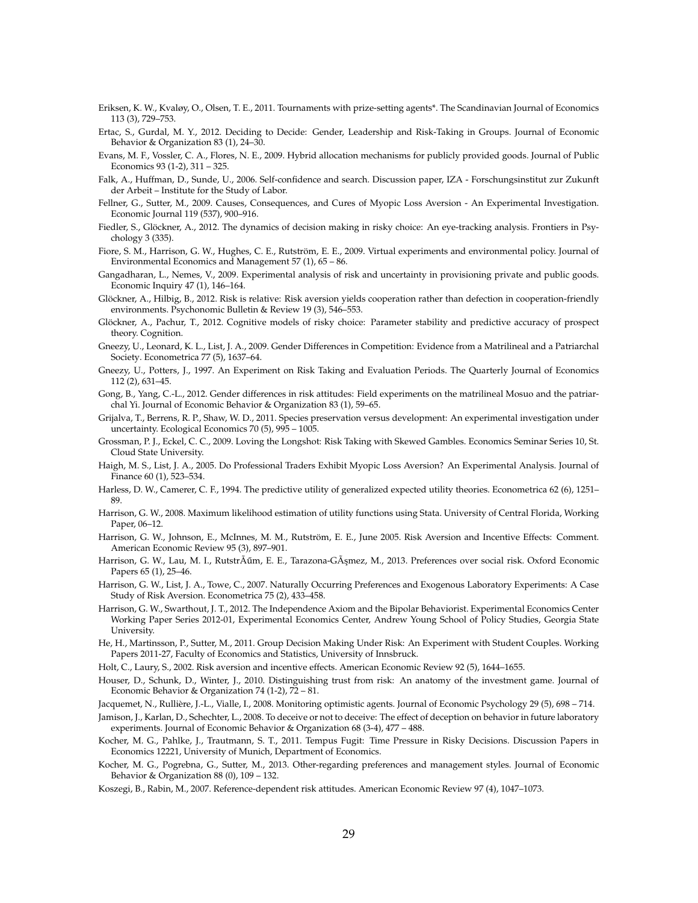- Eriksen, K. W., Kvaløy, O., Olsen, T. E., 2011. Tournaments with prize-setting agents\*. The Scandinavian Journal of Economics 113 (3), 729–753.
- Ertac, S., Gurdal, M. Y., 2012. Deciding to Decide: Gender, Leadership and Risk-Taking in Groups. Journal of Economic Behavior & Organization 83 (1), 24–30.
- Evans, M. F., Vossler, C. A., Flores, N. E., 2009. Hybrid allocation mechanisms for publicly provided goods. Journal of Public Economics 93 (1-2), 311 – 325.
- Falk, A., Huffman, D., Sunde, U., 2006. Self-confidence and search. Discussion paper, IZA Forschungsinstitut zur Zukunft der Arbeit – Institute for the Study of Labor.
- Fellner, G., Sutter, M., 2009. Causes, Consequences, and Cures of Myopic Loss Aversion An Experimental Investigation. Economic Journal 119 (537), 900–916.
- Fiedler, S., Glöckner, A., 2012. The dynamics of decision making in risky choice: An eye-tracking analysis. Frontiers in Psychology 3 (335).
- Fiore, S. M., Harrison, G. W., Hughes, C. E., Rutström, E. E., 2009. Virtual experiments and environmental policy. Journal of Environmental Economics and Management 57 (1), 65 – 86.
- Gangadharan, L., Nemes, V., 2009. Experimental analysis of risk and uncertainty in provisioning private and public goods. Economic Inquiry 47 (1), 146–164.
- Glöckner, A., Hilbig, B., 2012. Risk is relative: Risk aversion yields cooperation rather than defection in cooperation-friendly environments. Psychonomic Bulletin & Review 19 (3), 546–553.
- Glöckner, A., Pachur, T., 2012. Cognitive models of risky choice: Parameter stability and predictive accuracy of prospect theory. Cognition.
- Gneezy, U., Leonard, K. L., List, J. A., 2009. Gender Differences in Competition: Evidence from a Matrilineal and a Patriarchal Society. Econometrica 77 (5), 1637–64.
- Gneezy, U., Potters, J., 1997. An Experiment on Risk Taking and Evaluation Periods. The Quarterly Journal of Economics 112 (2), 631–45.
- Gong, B., Yang, C.-L., 2012. Gender differences in risk attitudes: Field experiments on the matrilineal Mosuo and the patriarchal Yi. Journal of Economic Behavior & Organization 83 (1), 59–65.
- Grijalva, T., Berrens, R. P., Shaw, W. D., 2011. Species preservation versus development: An experimental investigation under uncertainty. Ecological Economics 70 (5), 995 – 1005.
- Grossman, P. J., Eckel, C. C., 2009. Loving the Longshot: Risk Taking with Skewed Gambles. Economics Seminar Series 10, St. Cloud State University.
- Haigh, M. S., List, J. A., 2005. Do Professional Traders Exhibit Myopic Loss Aversion? An Experimental Analysis. Journal of Finance 60 (1), 523–534.
- Harless, D. W., Camerer, C. F., 1994. The predictive utility of generalized expected utility theories. Econometrica 62 (6), 1251– 89.
- Harrison, G. W., 2008. Maximum likelihood estimation of utility functions using Stata. University of Central Florida, Working Paper, 06–12.
- Harrison, G. W., Johnson, E., McInnes, M. M., Rutström, E. E., June 2005. Risk Aversion and Incentive Effects: Comment. American Economic Review 95 (3), 897–901.
- Harrison, G. W., Lau, M. I., Rutstrà um, E. E., Tarazona-Gàşmez, M., 2013. Preferences over social risk. Oxford Economic Papers 65 (1), 25–46.
- Harrison, G. W., List, J. A., Towe, C., 2007. Naturally Occurring Preferences and Exogenous Laboratory Experiments: A Case Study of Risk Aversion. Econometrica 75 (2), 433–458.
- Harrison, G. W., Swarthout, J. T., 2012. The Independence Axiom and the Bipolar Behaviorist. Experimental Economics Center Working Paper Series 2012-01, Experimental Economics Center, Andrew Young School of Policy Studies, Georgia State University.
- He, H., Martinsson, P., Sutter, M., 2011. Group Decision Making Under Risk: An Experiment with Student Couples. Working Papers 2011-27, Faculty of Economics and Statistics, University of Innsbruck.
- Holt, C., Laury, S., 2002. Risk aversion and incentive effects. American Economic Review 92 (5), 1644–1655.
- Houser, D., Schunk, D., Winter, J., 2010. Distinguishing trust from risk: An anatomy of the investment game. Journal of Economic Behavior & Organization 74 (1-2), 72 – 81.
- Jacquemet, N., Rullière, J.-L., Vialle, I., 2008. Monitoring optimistic agents. Journal of Economic Psychology 29 (5), 698 714.
- Jamison, J., Karlan, D., Schechter, L., 2008. To deceive or not to deceive: The effect of deception on behavior in future laboratory experiments. Journal of Economic Behavior & Organization 68 (3-4), 477 – 488.
- Kocher, M. G., Pahlke, J., Trautmann, S. T., 2011. Tempus Fugit: Time Pressure in Risky Decisions. Discussion Papers in Economics 12221, University of Munich, Department of Economics.
- Kocher, M. G., Pogrebna, G., Sutter, M., 2013. Other-regarding preferences and management styles. Journal of Economic Behavior & Organization 88 (0), 109 – 132.
- Koszegi, B., Rabin, M., 2007. Reference-dependent risk attitudes. American Economic Review 97 (4), 1047–1073.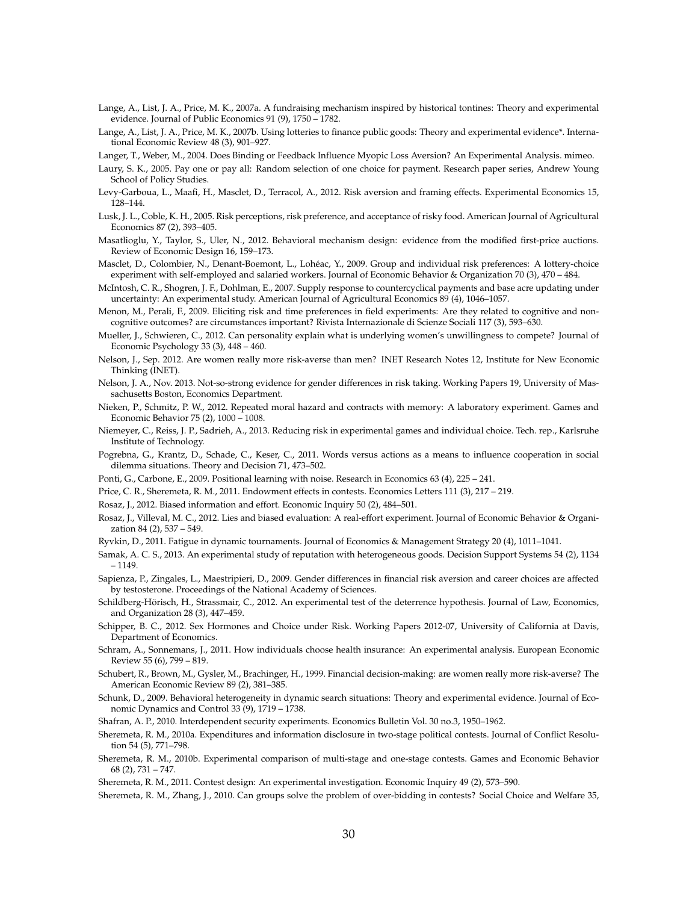- Lange, A., List, J. A., Price, M. K., 2007a. A fundraising mechanism inspired by historical tontines: Theory and experimental evidence. Journal of Public Economics 91 (9), 1750 – 1782.
- Lange, A., List, J. A., Price, M. K., 2007b. Using lotteries to finance public goods: Theory and experimental evidence\*. International Economic Review 48 (3), 901–927.

Langer, T., Weber, M., 2004. Does Binding or Feedback Influence Myopic Loss Aversion? An Experimental Analysis. mimeo.

- Laury, S. K., 2005. Pay one or pay all: Random selection of one choice for payment. Research paper series, Andrew Young School of Policy Studies.
- Levy-Garboua, L., Maafi, H., Masclet, D., Terracol, A., 2012. Risk aversion and framing effects. Experimental Economics 15, 128–144.
- Lusk, J. L., Coble, K. H., 2005. Risk perceptions, risk preference, and acceptance of risky food. American Journal of Agricultural Economics 87 (2), 393–405.
- Masatlioglu, Y., Taylor, S., Uler, N., 2012. Behavioral mechanism design: evidence from the modified first-price auctions. Review of Economic Design 16, 159–173.
- Masclet, D., Colombier, N., Denant-Boemont, L., Lohéac, Y., 2009. Group and individual risk preferences: A lottery-choice experiment with self-employed and salaried workers. Journal of Economic Behavior & Organization 70 (3), 470 – 484.
- McIntosh, C. R., Shogren, J. F., Dohlman, E., 2007. Supply response to countercyclical payments and base acre updating under uncertainty: An experimental study. American Journal of Agricultural Economics 89 (4), 1046–1057.
- Menon, M., Perali, F., 2009. Eliciting risk and time preferences in field experiments: Are they related to cognitive and noncognitive outcomes? are circumstances important? Rivista Internazionale di Scienze Sociali 117 (3), 593–630.
- Mueller, J., Schwieren, C., 2012. Can personality explain what is underlying women's unwillingness to compete? Journal of Economic Psychology 33 (3), 448 – 460.
- Nelson, J., Sep. 2012. Are women really more risk-averse than men? INET Research Notes 12, Institute for New Economic Thinking (INET).
- Nelson, J. A., Nov. 2013. Not-so-strong evidence for gender differences in risk taking. Working Papers 19, University of Massachusetts Boston, Economics Department.
- Nieken, P., Schmitz, P. W., 2012. Repeated moral hazard and contracts with memory: A laboratory experiment. Games and Economic Behavior 75 (2), 1000 – 1008.
- Niemeyer, C., Reiss, J. P., Sadrieh, A., 2013. Reducing risk in experimental games and individual choice. Tech. rep., Karlsruhe Institute of Technology.
- Pogrebna, G., Krantz, D., Schade, C., Keser, C., 2011. Words versus actions as a means to influence cooperation in social dilemma situations. Theory and Decision 71, 473–502.
- Ponti, G., Carbone, E., 2009. Positional learning with noise. Research in Economics 63 (4), 225 241.
- Price, C. R., Sheremeta, R. M., 2011. Endowment effects in contests. Economics Letters 111 (3), 217 219.
- Rosaz, J., 2012. Biased information and effort. Economic Inquiry 50 (2), 484–501.
- Rosaz, J., Villeval, M. C., 2012. Lies and biased evaluation: A real-effort experiment. Journal of Economic Behavior & Organization 84 (2), 537 – 549.
- Ryvkin, D., 2011. Fatigue in dynamic tournaments. Journal of Economics & Management Strategy 20 (4), 1011–1041.
- Samak, A. C. S., 2013. An experimental study of reputation with heterogeneous goods. Decision Support Systems 54 (2), 1134 – 1149.
- Sapienza, P., Zingales, L., Maestripieri, D., 2009. Gender differences in financial risk aversion and career choices are affected by testosterone. Proceedings of the National Academy of Sciences.
- Schildberg-Hörisch, H., Strassmair, C., 2012. An experimental test of the deterrence hypothesis. Journal of Law, Economics, and Organization 28 (3), 447–459.
- Schipper, B. C., 2012. Sex Hormones and Choice under Risk. Working Papers 2012-07, University of California at Davis, Department of Economics.
- Schram, A., Sonnemans, J., 2011. How individuals choose health insurance: An experimental analysis. European Economic Review 55 (6), 799 – 819.
- Schubert, R., Brown, M., Gysler, M., Brachinger, H., 1999. Financial decision-making: are women really more risk-averse? The American Economic Review 89 (2), 381–385.
- Schunk, D., 2009. Behavioral heterogeneity in dynamic search situations: Theory and experimental evidence. Journal of Economic Dynamics and Control 33 (9), 1719 – 1738.
- Shafran, A. P., 2010. Interdependent security experiments. Economics Bulletin Vol. 30 no.3, 1950–1962.
- Sheremeta, R. M., 2010a. Expenditures and information disclosure in two-stage political contests. Journal of Conflict Resolution 54 (5), 771–798.
- Sheremeta, R. M., 2010b. Experimental comparison of multi-stage and one-stage contests. Games and Economic Behavior 68 (2), 731 – 747.
- Sheremeta, R. M., 2011. Contest design: An experimental investigation. Economic Inquiry 49 (2), 573–590.
- Sheremeta, R. M., Zhang, J., 2010. Can groups solve the problem of over-bidding in contests? Social Choice and Welfare 35,